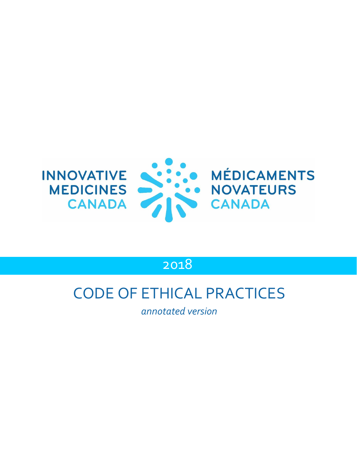

# 2018

# CODE OF ETHICAL PRACTICES

*annotated version*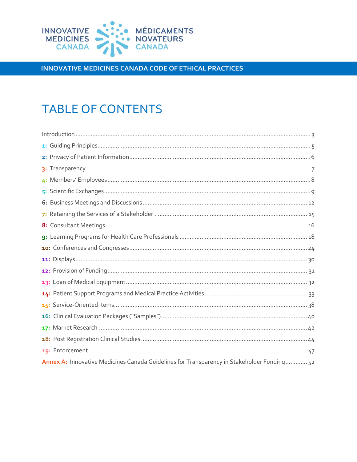

# **TABLE OF CONTENTS**

| Annex A: Innovative Medicines Canada Guidelines for Transparency in Stakeholder Funding 52 |
|--------------------------------------------------------------------------------------------|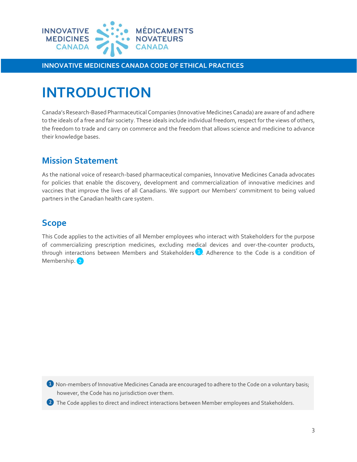

# <span id="page-2-0"></span>**INTRODUCTION**

Canada's Research-Based Pharmaceutical Companies (Innovative Medicines Canada) are aware of and adhere to the ideals of a free and fair society. These ideals include individual freedom, respect for the views of others, the freedom to trade and carry on commerce and the freedom that allows science and medicine to advance their knowledge bases.

# **Mission Statement**

As the national voice of research-based pharmaceutical companies, Innovative Medicines Canada advocates for policies that enable the discovery, development and commercialization of innovative medicines and vaccines that improve the lives of all Canadians. We support our Members' commitment to being valued partners in the Canadian health care system.

# **Scope**

This Code applies to the activities of all Member employees who interact with Stakeholders for the purpose of commercializing prescription medicines, excluding medical devices and over-the-counter products, through interactions between Members and Stakeholders  $\overline{1}$ . Adherence to the Code is a condition of Membership. 2

**1** Non-members of Innovative Medicines Canada are encouraged to adhere to the Code on a voluntary basis; however, the Code has no jurisdiction over them.

2) The Code applies to direct and indirect interactions between Member employees and Stakeholders.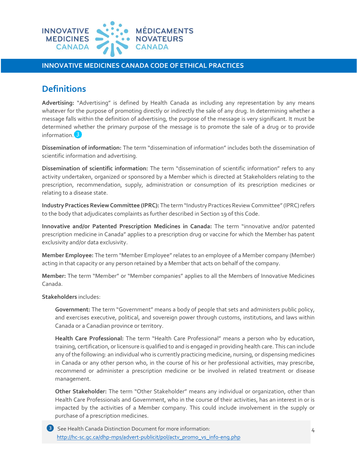

# **Definitions**

**Advertising:** "Advertising" is defined by Health Canada as including any representation by any means whatever for the purpose of promoting directly or indirectly the sale of any drug. In determining whether a message falls within the definition of advertising, the purpose of the message is very significant. It must be determined whether the primary purpose of the message is to promote the sale of a drug or to provide information.<sup>3</sup>

**Dissemination of information:** The term "dissemination of information" includes both the dissemination of scientific information and advertising.

**Dissemination of scientific information:** The term "dissemination of scientific information" refers to any activity undertaken, organized or sponsored by a Member which is directed at Stakeholders relating to the prescription, recommendation, supply, administration or consumption of its prescription medicines or relating to a disease state.

**Industry Practices Review Committee (IPRC):** The term "Industry Practices Review Committee" (IPRC) refers to the body that adjudicates complaints as further described in Section 19 of this Code.

**Innovative and/or Patented Prescription Medicines in Canada:** The term "innovative and/or patented prescription medicine in Canada" applies to a prescription drug or vaccine for which the Member has patent exclusivity and/or data exclusivity.

**Member Employee:** The term "Member Employee" relates to an employee of a Member company (Member) acting in that capacity or any person retained by a Member that acts on behalf of the company.

**Member:** The term "Member" or "Member companies" applies to all the Members of Innovative Medicines Canada.

**Stakeholders** includes:

**Government:** The term "Government" means a body of people that sets and administers public policy, and exercises executive, political, and sovereign power through customs, institutions, and laws within Canada or a Canadian province or territory.

**Health Care Professional:** The term "Health Care Professional" means a person who by education, training, certification, or licensure is qualified to and is engaged in providing health care. This can include any of the following: an individual who is currently practicing medicine, nursing, or dispensing medicines in Canada or any other person who, in the course of his or her professional activities, may prescribe, recommend or administer a prescription medicine or be involved in related treatment or disease management.

**Other Stakeholder:** The term "Other Stakeholder" means any individual or organization, other than Health Care Professionals and Government, who in the course of their activities, has an interest in or is impacted by the activities of a Member company. This could include involvement in the supply or purchase of a prescription medicines.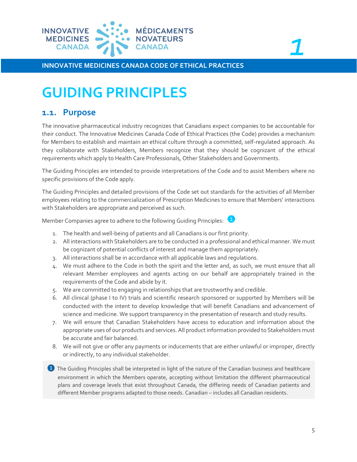

# *1*

**INNOVATIVE MEDICINES CANADA CODE OF ETHICAL PRACTICES**

# <span id="page-4-0"></span>**GUIDING PRINCIPLES**

## **1.1. Purpose**

The innovative pharmaceutical industry recognizes that Canadians expect companies to be accountable for their conduct. The Innovative Medicines Canada Code of Ethical Practices (the Code) provides a mechanism for Members to establish and maintain an ethical culture through a committed, self-regulated approach. As they collaborate with Stakeholders, Members recognize that they should be cognizant of the ethical requirements which apply to Health Care Professionals, Other Stakeholders and Governments.

The Guiding Principles are intended to provide interpretations of the Code and to assist Members where no specific provisions of the Code apply.

The Guiding Principles and detailed provisions of the Code set out standards for the activities of all Member employees relating to the commercialization of Prescription Medicines to ensure that Members' interactions with Stakeholders are appropriate and perceived as such.

Member Companies agree to adhere to the following Guiding Principles: <sup>1</sup>

- 1. The health and well-being of patients and all Canadians is our first priority.
- 2. All interactions with Stakeholders are to be conducted in a professional and ethical manner. We must be cognizant of potential conflicts of interest and manage them appropriately.
- 3. All interactions shall be in accordance with all applicable laws and regulations.
- 4. We must adhere to the Code in both the spirit and the letter and, as such, we must ensure that all relevant Member employees and agents acting on our behalf are appropriately trained in the requirements of the Code and abide by it.
- 5. We are committed to engaging in relationships that are trustworthy and credible.
- 6. All clinical (phase I to IV) trials and scientific research sponsored or supported by Members will be conducted with the intent to develop knowledge that will benefit Canadians and advancement of science and medicine. We support transparency in the presentation of research and study results.
- 7. We will ensure that Canadian Stakeholders have access to education and information about the appropriate uses of our products and services. All product information provided to Stakeholders must be accurate and fair balanced.
- 8. We will not give or offer any payments or inducements that are either unlawful or improper, directly or indirectly, to any individual stakeholder.
- ❶ The Guiding Principles shall be interpreted in light of the nature of the Canadian business and healthcare environment in which the Members operate, accepting without limitation the different pharmaceutical plans and coverage levels that exist throughout Canada, the differing needs of Canadian patients and different Member programs adapted to those needs. Canadian – includes all Canadian residents.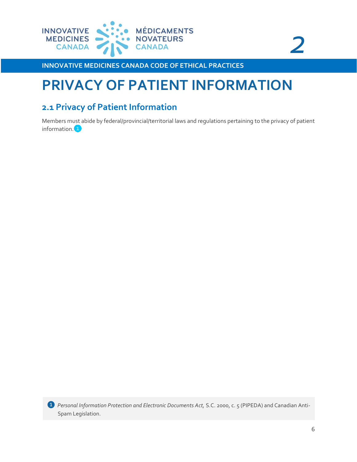



# <span id="page-5-0"></span>**PRIVACY OF PATIENT INFORMATION**

# **2.1 Privacy of Patient Information**

Members must abide by federal/provincial/territorial laws and regulations pertaining to the privacy of patient information.<sup>1</sup>

*❶ Personal Information Protection and Electronic Documents Act,* S.C. 2000, c. 5 (PIPEDA) and Canadian Anti-Spam Legislation.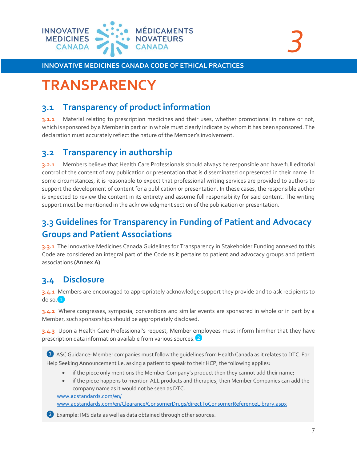

```
3
```
# <span id="page-6-0"></span>**TRANSPARENCY**

# **3.1 Transparency of product information**

**3.1.1** Material relating to prescription medicines and their uses, whether promotional in nature or not, which is sponsored by a Member in part or in whole must clearly indicate by whom it has been sponsored. The declaration must accurately reflect the nature of the Member's involvement.

### **3.2 Transparency in authorship**

**3.2.1** Members believe that Health Care Professionals should always be responsible and have full editorial control of the content of any publication or presentation that is disseminated or presented in their name. In some circumstances, it is reasonable to expect that professional writing services are provided to authors to support the development of content for a publication or presentation. In these cases, the responsible author is expected to review the content in its entirety and assume full responsibility for said content. The writing support must be mentioned in the acknowledgment section of the publication or presentation.

# **3.3 Guidelines for Transparency in Funding of Patient and Advocacy Groups and Patient Associations**

**3.3.1** The Innovative Medicines Canada Guidelines for Transparency in Stakeholder Funding annexed to this Code are considered an integral part of the Code as it pertains to patient and advocacy groups and patient associations **(Annex A)**.

# **3.4 Disclosure**

**3.4.1** Members are encouraged to appropriately acknowledge support they provide and to ask recipients to  $do$  so.  $1$ 

**3.4.2** Where congresses, symposia, conventions and similar events are sponsored in whole or in part by a Member, such sponsorships should be appropriately disclosed.

**3.4.3** Upon a Health Care Professional's request, Member employees must inform him/her that they have prescription data information available from various sources.<sup>2</sup>

❶ ASC Guidance: Member companies must follow the guidelines from Health Canada as it relates to DTC. For Help Seeking Announcement i.e. asking a patient to speak to their HCP, the following applies:

- if the piece only mentions the Member Company's product then they cannot add their name;
- if the piece happens to mention ALL products and therapies, then Member Companies can add the company name as it would not be seen as DTC.

[www.adstandards.com/en/](http://www.adstandards.com/en/)

[www.adstandards.com/en/Clearance/ConsumerDrugs/directToConsumerReferenceLibrary.aspx](http://www.adstandards.com/en/Clearance/ConsumerDrugs/directToConsumerReferenceLibrary.aspx)

❷ Example: IMS data as well as data obtained through other sources.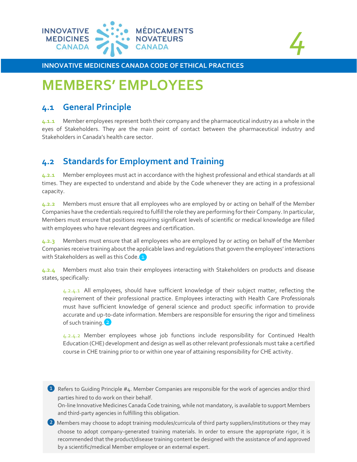

*4*

# <span id="page-7-0"></span>**MEMBERS' EMPLOYEES**

### **4.1 General Principle**

**4.1.1** Member employees represent both their company and the pharmaceutical industry as a whole in the eyes of Stakeholders. They are the main point of contact between the pharmaceutical industry and Stakeholders in Canada's health care sector.

# **4.2 Standards for Employment and Training**

**4.2.1** Member employees must act in accordance with the highest professional and ethical standards at all times. They are expected to understand and abide by the Code whenever they are acting in a professional capacity.

**4.2.2** Members must ensure that all employees who are employed by or acting on behalf of the Member Companies have the credentials required to fulfill the role they are performing for their Company. In particular, Members must ensure that positions requiring significant levels of scientific or medical knowledge are filled with employees who have relevant degrees and certification.

**4.2.3** Members must ensure that all employees who are employed by or acting on behalf of the Member Companies receive training about the applicable laws and regulations that govern the employees' interactions with Stakeholders as well as this Code.<sup>1</sup>

**4.2.4** Members must also train their employees interacting with Stakeholders on products and disease states, specifically:

4.2.4.1 All employees, should have sufficient knowledge of their subject matter, reflecting the requirement of their professional practice. Employees interacting with Health Care Professionals must have sufficient knowledge of general science and product specific information to provide accurate and up-to-date information. Members are responsible for ensuring the rigor and timeliness of such training.<sup>2</sup>

4.2.4.2 Member employees whose job functions include responsibility for Continued Health Education (CHE) development and design as well as other relevant professionals must take a certified course in CHE training prior to or within one year of attaining responsibility for CHE activity.

**1** Refers to Guiding Principle #4. Member Companies are responsible for the work of agencies and/or third parties hired to do work on their behalf.

On-line Innovative Medicines Canada Code training, while not mandatory, is available to support Members and third-party agencies in fulfilling this obligation.

2) Members may choose to adopt training modules/curricula of third party suppliers/institutions or they may choose to adopt company-generated training materials. In order to ensure the appropriate rigor, it is recommended that the product/disease training content be designed with the assistance of and approved by a scientific/medical Member employee or an external expert.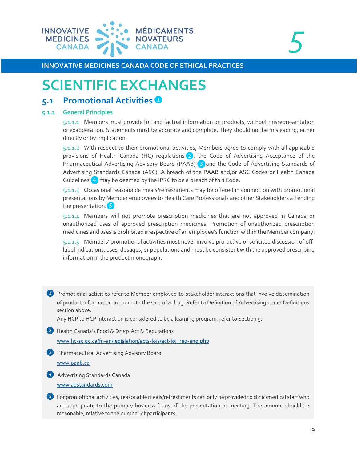

```
5
```
# <span id="page-8-0"></span>**SCIENTIFIC EXCHANGES**

### **5.1 Promotional Activities**

#### **5.1.1 General Principles**

5.1.1.1 Members must provide full and factual information on products, without misrepresentation or exaggeration. Statements must be accurate and complete. They should not be misleading, either directly or by implication.

5.1.1.2 With respect to their promotional activities, Members agree to comply with all applicable provisions of Health Canada (HC) regulations  $\overline{2}$ , the Code of Advertising Acceptance of the Pharmaceutical Advertising Advisory Board (PAAB) 3 and the Code of Advertising Standards of Advertising Standards Canada (ASC). A breach of the PAAB and/or ASC Codes or Health Canada Guidelines  $\overline{4}$  may be deemed by the IPRC to be a breach of this Code.

5.1.1.3 Occasional reasonable meals/refreshments may be offered in connection with promotional presentations by Member employees to Health Care Professionals and other Stakeholders attending the presentation.<sup>5</sup>

5.1.1.4 Members will not promote prescription medicines that are not approved in Canada or unauthorized uses of approved prescription medicines. Promotion of unauthorized prescription medicines and uses is prohibited irrespective of an employee's function within the Member company.

5.1.1.5 Members' promotional activities must never involve pro-active or solicited discussion of offlabel indications, uses, dosages, or populations and must be consistent with the approved prescribing information in the product monograph.

❶ Promotional activities refer to Member employee-to-stakeholder interactions that involve dissemination of product information to promote the sale of a drug. Refer to Definition of Advertising under Definitions section above.

Any HCP to HCP interaction is considered to be a learning program, refer to Section 9.

❷ Health Canada's Food & Drugs Act & Regulations [www.hc-sc.gc.ca/fn-an/legislation/acts-lois/act-loi\\_reg-eng.php](http://www.hc-sc.gc.ca/fn-an/legislation/acts-lois/act-loi_reg-eng.php)

**3** Pharmaceutical Advertising Advisory Board [www.paab.ca](http://www.paab.ca/)

❹ Advertising Standards Canada [www.adstandards.com](http://www.adstandards.com/)

❺ For promotional activities, reasonable meals/refreshments can only be provided to clinic/medical staff who are appropriate to the primary business focus of the presentation or meeting. The amount should be reasonable, relative to the number of participants.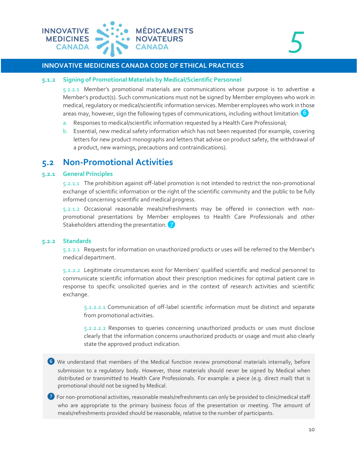

#### **5.1.2 Signing of Promotional Materials by Medical/Scientific Personnel**

5.1.2.1 Member's promotional materials are communications whose purpose is to advertise a Member's product(s). Such communications must not be signed by Member employees who work in medical, regulatory or medical/scientific information services. Member employees who work in those areas may, however, sign the following types of communications, including without limitation:  $\binom{6}{7}$ 

- a. Responses to medical/scientific information requested by a Health Care Professional;
- b. Essential, new medical safety information which has not been requested (for example, covering letters for new product monographs and letters that advise on product safety, the withdrawal of a product, new warnings, precautions and contraindications).

### **5.2 Non-Promotional Activities**

#### **5.2.1 General Principles**

5.2.1.1 The prohibition against off-label promotion is not intended to restrict the non-promotional exchange of scientific information or the right of the scientific community and the public to be fully informed concerning scientific and medical progress.

5.2.1.2 Occasional reasonable meals/refreshments may be offered in connection with nonpromotional presentations by Member employees to Health Care Professionals and other Stakeholders attending the presentation.

#### **5.2.2 Standards**

5.2.2.1 Requests for information on unauthorized products or uses will be referred to the Member's medical department.

5.2.2.2 Legitimate circumstances exist for Members' qualified scientific and medical personnel to communicate scientific information about their prescription medicines for optimal patient care in response to specific unsolicited queries and in the context of research activities and scientific exchange.

5.2.2.2.1 Communication of off-label scientific information must be distinct and separate from promotional activities.

5.2.2.2.2 Responses to queries concerning unauthorized products or uses must disclose clearly that the information concerns unauthorized products or usage and must also clearly state the approved product indication.

- 6 We understand that members of the Medical function review promotional materials internally, before submission to a regulatory body. However, those materials should never be signed by Medical when distributed or transmitted to Health Care Professionals. For example: a piece (e.g. direct mail) that is promotional should not be signed by Medical.
- ❼ For non-promotional activities, reasonable meals/refreshments can only be provided to clinic/medical staff who are appropriate to the primary business focus of the presentation or meeting. The amount of meals/refreshments provided should be reasonable, relative to the number of participants.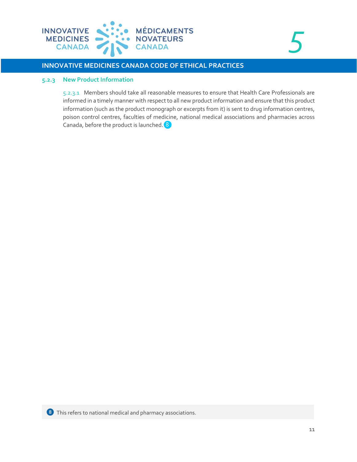

*5*

#### **INNOVATIVE MEDICINES CANADA CODE OF ETHICAL PRACTICES**

#### **5.2.3 New Product Information**

5.2.3.1 Members should take all reasonable measures to ensure that Health Care Professionals are informed in a timely manner with respect to all new product information and ensure that this product information (such as the product monograph or excerpts from it) is sent to drug information centres, poison control centres, faculties of medicine, national medical associations and pharmacies across Canada, before the product is launched.<sup>8</sup>

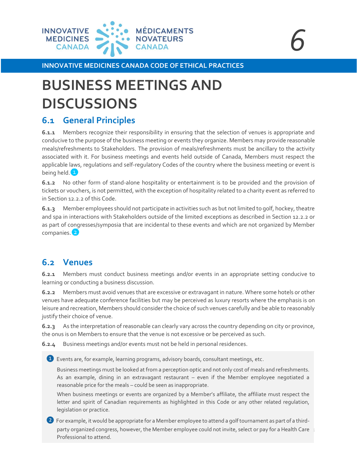

# <span id="page-11-0"></span>**BUSINESS MEETINGS AND DISCUSSIONS**

## **6.1 General Principles**

**6.1.1** Members recognize their responsibility in ensuring that the selection of venues is appropriate and conducive to the purpose of the business meeting or events they organize. Members may provide reasonable meals/refreshments to Stakeholders. The provision of meals/refreshments must be ancillary to the activity associated with it. For business meetings and events held outside of Canada, Members must respect the applicable laws, regulations and self-regulatory Codes of the country where the business meeting or event is being held.<sup>1</sup>

**6.1.2** No other form of stand-alone hospitality or entertainment is to be provided and the provision of tickets or vouchers, is not permitted, with the exception of hospitality related to a charity event as referred to in Section 12.2.2 of this Code.

**6.1.3** Member employees should not participate in activities such as but not limited to golf, hockey, theatre and spa in interactions with Stakeholders outside of the limited exceptions as described in Section 12.2.2 or as part of congresses/symposia that are incidental to these events and which are not organized by Member companies.<sup>2</sup>

## **6.2 Venues**

**6.2.1** Members must conduct business meetings and/or events in an appropriate setting conducive to learning or conducting a business discussion.

**6.2.2** Members must avoid venues that are excessive or extravagant in nature. Where some hotels or other venues have adequate conference facilities but may be perceived as luxury resorts where the emphasis is on leisure and recreation, Members should consider the choice of such venues carefully and be able to reasonably justify their choice of venue.

**6.2.3** As the interpretation of reasonable can clearly vary across the country depending on city or province, the onus is on Members to ensure that the venue is not excessive or be perceived as such.

**6.2.4** Business meetings and/or events must not be held in personal residences.

❶ Events are, for example, learning programs, advisory boards, consultant meetings, etc.

Business meetings must be looked at from a perception optic and not only cost of meals and refreshments. As an example, dining in an extravagant restaurant – even if the Member employee negotiated a reasonable price for the meals – could be seen as inappropriate.

When business meetings or events are organized by a Member's affiliate, the affiliate must respect the letter and spirit of Canadian requirements as highlighted in this Code or any other related regulation, legislation or practice.

party organized congress, however, the Member employee could not invite, select or pay for a Health Care  $\,$  . ❷ For example, it would be appropriate for a Member employee to attend a golf tournament as part of a third-Professional to attend.

*<sup>6</sup>*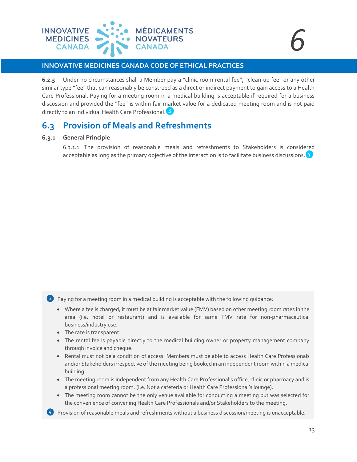

**6.2.5** Under no circumstances shall a Member pay a "clinic room rental fee", "clean-up fee" or any other similar type "fee" that can reasonably be construed as a direct or indirect payment to gain access to a Health Care Professional. Paying for a meeting room in a medical building is acceptable if required for a business discussion and provided the "fee" is within fair market value for a dedicated meeting room and is not paid directly to an individual Health Care Professional.<sup>3</sup>

# **6.3 Provision of Meals and Refreshments**

#### **6.3.1 General Principle**

6.3.1.1 The provision of reasonable meals and refreshments to Stakeholders is considered acceptable as long as the primary objective of the interaction is to facilitate business discussions.  $\leftrightarrow$ 

❸ Paying for a meeting room in a medical building is acceptable with the following guidance:

- Where a fee is charged, it must be at fair market value (FMV) based on other meeting room rates in the area (i.e. hotel or restaurant) and is available for same FMV rate for non‐pharmaceutical business/industry use.
- The rate is transparent.
- The rental fee is payable directly to the medical building owner or property management company through invoice and cheque.
- Rental must not be a condition of access. Members must be able to access Health Care Professionals and/or Stakeholders irrespective of the meeting being booked in an independent room within a medical building.
- The meeting room is independent from any Health Care Professional's office, clinic or pharmacy and is a professional meeting room. (i.e. Not a cafeteria or Health Care Professional's lounge).
- The meeting room cannot be the only venue available for conducting a meeting but was selected for the convenience of convening Health Care Professionals and/or Stakeholders to the meeting.
- $\clubsuit$  Provision of reasonable meals and refreshments without a business discussion/meeting is unacceptable.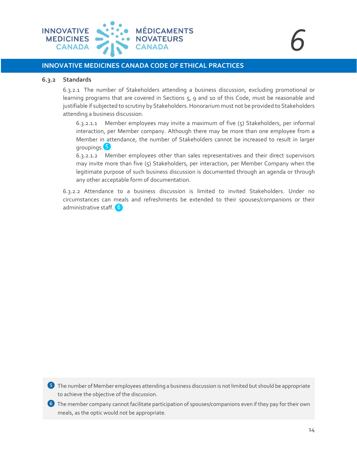

#### **6.3.2 Standards**

6.3.2.1 The number of Stakeholders attending a business discussion, excluding promotional or learning programs that are covered in Sections 5, 9 and 10 of this Code, must be reasonable and justifiable if subjected to scrutiny by Stakeholders. Honorarium must not be provided to Stakeholders attending a business discussion.

 $6.3.2.1.1$  Member employees may invite a maximum of five  $(5)$  Stakeholders, per informal interaction, per Member company. Although there may be more than one employee from a Member in attendance, the number of Stakeholders cannot be increased to result in larger groupings.

6.3.2.1.2 Member employees other than sales representatives and their direct supervisors may invite more than five (5) Stakeholders, per interaction, per Member Company when the legitimate purpose of such business discussion is documented through an agenda or through any other acceptable form of documentation.

6.3.2.2 Attendance to a business discussion is limited to invited Stakeholders. Under no circumstances can meals and refreshments be extended to their spouses/companions or their administrative staff. 6

❺ The number of Member employees attending a business discussion is not limited but should be appropriate to achieve the objective of the discussion.

❻ The member company cannot facilitate participation of spouses/companions even if they pay for their own meals, as the optic would not be appropriate.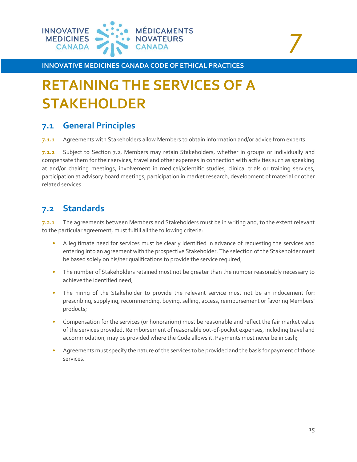

# *7*

**INNOVATIVE MEDICINES CANADA CODE OF ETHICAL PRACTICES**

# <span id="page-14-0"></span>**RETAINING THE SERVICES OF A STAKEHOLDER**

# **7.1 General Principles**

**7.1.1** Agreements with Stakeholders allow Members to obtain information and/or advice from experts.

**7.1.2** Subject to Section 7.2, Members may retain Stakeholders, whether in groups or individually and compensate them for their services, travel and other expenses in connection with activities such as speaking at and/or chairing meetings, involvement in medical/scientific studies, clinical trials or training services, participation at advisory board meetings, participation in market research, development of material or other related services.

# **7.2 Standards**

**7.2.1** The agreements between Members and Stakeholders must be in writing and, to the extent relevant to the particular agreement, must fulfill all the following criteria:

- A legitimate need for services must be clearly identified in advance of requesting the services and entering into an agreement with the prospective Stakeholder. The selection of the Stakeholder must be based solely on his/her qualifications to provide the service required;
- The number of Stakeholders retained must not be greater than the number reasonably necessary to achieve the identified need;
- The hiring of the Stakeholder to provide the relevant service must not be an inducement for: prescribing, supplying, recommending, buying, selling, access, reimbursement or favoring Members' products;
- Compensation for the services (or honorarium) must be reasonable and reflect the fair market value of the services provided. Reimbursement of reasonable out-of-pocket expenses, including travel and accommodation, may be provided where the Code allows it. Payments must never be in cash;
- Agreements must specify the nature of the services to be provided and the basis for payment of those services.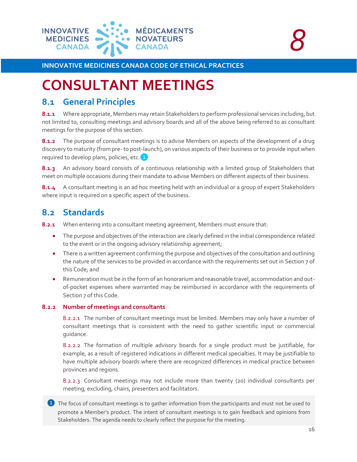

# <span id="page-15-0"></span>**CONSULTANT MEETINGS**

## **8.1 General Principles**

**8.1.1** Where appropriate, Members may retain Stakeholders to perform professional services including, but not limited to, consulting meetings and advisory boards and all of the above being referred to as consultant meetings for the purpose of this section.

**8.1.2** The purpose of consultant meetings is to advise Members on aspects of the development of a drug discovery to maturity (from pre- to post-launch), on various aspects of their business or to provide input when required to develop plans, policies, etc.

8.1.3 An advisory board consists of a continuous relationship with a limited group of Stakeholders that meet on multiple occasions during their mandate to advise Members on different aspects of their business.

**8.1.4** A consultant meeting is an ad hoc meeting held with an individual or a group of expert Stakeholders where input is required on a specific aspect of the business.

# **8.2 Standards**

**8.2.1** When entering into a consultant meeting agreement, Members must ensure that:

- The purpose and objectives of the interaction are clearly defined in the initial correspondence related to the event or in the ongoing advisory relationship agreement;
- There is a written agreement confirming the purpose and objectives of the consultation and outlining the nature of the services to be provided in accordance with the requirements set out in Section 7 of this Code; and
- Remuneration must be in the form of an honorarium and reasonable travel, accommodation and outof-pocket expenses where warranted may be reimbursed in accordance with the requirements of Section 7 of this Code.

#### **8.2.2 Number of meetings and consultants**

8.2.2.1 The number of consultant meetings must be limited. Members may only have a number of consultant meetings that is consistent with the need to gather scientific input or commercial guidance.

8.2.2.2 The formation of multiple advisory boards for a single product must be justifiable, for example, as a result of registered indications in different medical specialties. It may be justifiable to have multiple advisory boards where there are recognized differences in medical practice between provinces and regions.

8.2.2.3 Consultant meetings may not include more than twenty (20) individual consultants per meeting, excluding, chairs, presenters and facilitators.

❶ The focus of consultant meetings is to gather information from the participants and must not be used to promote a Member's product. The intent of consultant meetings is to gain feedback and opinions from Stakeholders. The agenda needs to clearly reflect the purpose for the meeting.

*<sup>8</sup>*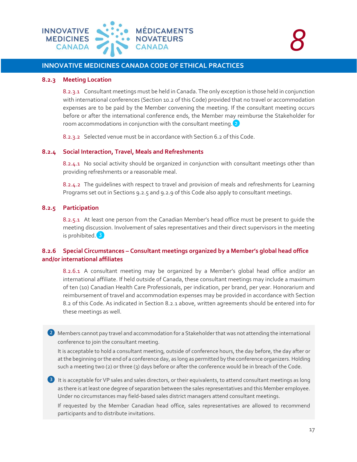

#### **8.2.3 Meeting Location**

8.2.3.1 Consultant meetings must be held in Canada. The only exception is those held in conjunction with international conferences (Section 10.2 of this Code) provided that no travel or accommodation expenses are to be paid by the Member convening the meeting. If the consultant meeting occurs before or after the international conference ends, the Member may reimburse the Stakeholder for room accommodations in conjunction with the consultant meeting.<sup>2</sup>

8.2.3.2 Selected venue must be in accordance with Section 6.2 of this Code.

#### **8.2.4 Social Interaction, Travel, Meals and Refreshments**

8.2.4.1 No social activity should be organized in conjunction with consultant meetings other than providing refreshments or a reasonable meal.

8.2.4.2 The guidelines with respect to travel and provision of meals and refreshments for Learning Programs set out in Sections 9.2.5 and 9.2.9 of this Code also apply to consultant meetings.

#### **8.2.5 Participation**

8.2.5.1 At least one person from the Canadian Member's head office must be present to guide the meeting discussion. Involvement of sales representatives and their direct supervisors in the meeting is prohibited.<sup>3</sup>

#### **8.2.6 Special Circumstances – Consultant meetings organized by a Member's global head office and/or international affiliates**

8.2.6.1 A consultant meeting may be organized by a Member's global head office and/or an international affiliate. If held outside of Canada, these consultant meetings may include a maximum of ten (10) Canadian Health Care Professionals, per indication, per brand, per year. Honorarium and reimbursement of travel and accommodation expenses may be provided in accordance with Section 8.2 of this Code. As indicated in Section 8.2.1 above, written agreements should be entered into for these meetings as well.

<sup>2</sup> Members cannot pay travel and accommodation for a Stakeholder that was not attending the international conference to join the consultant meeting.

It is acceptable to hold a consultant meeting, outside of conference hours, the day before, the day after or at the beginning or the end of a conference day, as long as permitted by the conference organizers. Holding such a meeting two (2) or three (3) days before or after the conference would be in breach of the Code.

<sup>3</sup> It is acceptable for VP sales and sales directors, or their equivalents, to attend consultant meetings as long as there is at least one degree of separation between the sales representatives and this Member employee. Under no circumstances may field-based sales district managers attend consultant meetings.

If requested by the Member Canadian head office, sales representatives are allowed to recommend participants and to distribute invitations.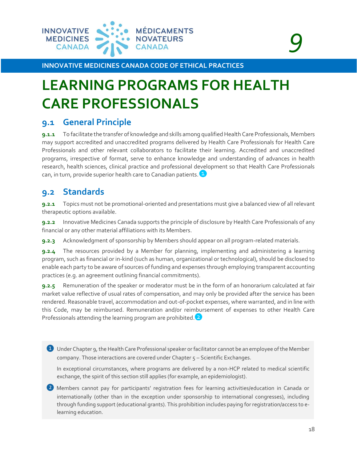

# *9*

**INNOVATIVE MEDICINES CANADA CODE OF ETHICAL PRACTICES**

# <span id="page-17-0"></span>**LEARNING PROGRAMS FOR HEALTH CARE PROFESSIONALS**

# **9.1 General Principle**

**9.1.1** To facilitate the transfer of knowledge and skills among qualified Health Care Professionals, Members may support accredited and unaccredited programs delivered by Health Care Professionals for Health Care Professionals and other relevant collaborators to facilitate their learning. Accredited and unaccredited programs, irrespective of format, serve to enhance knowledge and understanding of advances in health research, health sciences, clinical practice and professional development so that Health Care Professionals can, in turn, provide superior health care to Canadian patients.

# **9.2 Standards**

**9.2.1** Topics must not be promotional-oriented and presentations must give a balanced view of all relevant therapeutic options available.

**9.2.2** Innovative Medicines Canada supports the principle of disclosure by Health Care Professionals of any financial or any other material affiliations with its Members.

**9.2.3** Acknowledgment of sponsorship by Members should appear on all program-related materials.

**9.2.4** The resources provided by a Member for planning, implementing and administering a learning program, such as financial or in-kind (such as human, organizational or technological), should be disclosed to enable each party to be aware of sources of funding and expenses through employing transparent accounting practices (e.g. an agreement outlining financial commitments).

**9.2.5** Remuneration of the speaker or moderator must be in the form of an honorarium calculated at fair market value reflective of usual rates of compensation, and may only be provided after the service has been rendered. Reasonable travel, accommodation and out-of-pocket expenses, where warranted, and in line with this Code, may be reimbursed. Remuneration and/or reimbursement of expenses to other Health Care Professionals attending the learning program are prohibited.<sup>2</sup>

❶ Under Chapter 9, the Health Care Professional speaker or facilitator cannot be an employee of the Member company. Those interactions are covered under Chapter 5 - Scientific Exchanges.

In exceptional circumstances, where programs are delivered by a non-HCP related to medical scientific exchange, the spirit of this section still applies (for example, an epidemiologist).

2 Members cannot pay for participants' registration fees for learning activities/education in Canada or internationally (other than in the exception under sponsorship to international congresses), including through funding support (educational grants). This prohibition includes paying for registration/access to elearning education.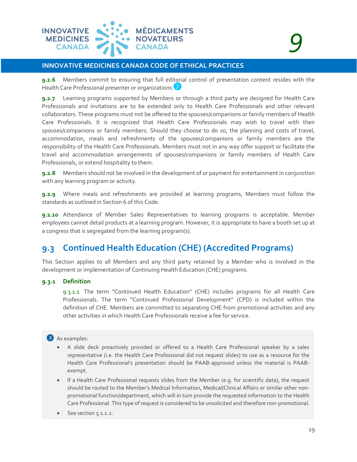

**9.2.6** Members commit to ensuring that full editorial control of presentation content resides with the Health Care Professional presenter or organizations.

**9.2.7** Learning programs supported by Members or through a third party are designed for Health Care Professionals and invitations are to be extended only to Health Care Professionals and other relevant collaborators. These programs must not be offered to the spouses/companions or family members of Health Care Professionals. It is recognized that Health Care Professionals may wish to travel with their spouses/companions or family members. Should they choose to do so, the planning and costs of travel, accommodation, meals and refreshments of the spouses/companions or family members are the responsibility of the Health Care Professionals. Members must not in any way offer support or facilitate the travel and accommodation arrangements of spouses/companions or family members of Health Care Professionals, or extend hospitality to them.

**9.2.8** Members should not be involved in the development of or payment for entertainment in conjunction with any learning program or activity.

**9.2.9** Where meals and refreshments are provided at learning programs, Members must follow the standards as outlined in Section 6 of this Code.

**9.2.10** Attendance of Member Sales Representatives to learning programs is acceptable. Member employees cannot detail products at a learning program. However, it is appropriate to have a booth set up at a congress that is segregated from the learning program(s).

# **9.3 Continued Health Education (CHE) (Accredited Programs)**

This Section applies to all Members and any third party retained by a Member who is involved in the development or implementation of Continuing Health Education (CHE) programs.

#### **9.3.1 Definition**

9.3.1.1 The term "Continued Health Education" (CHE) includes programs for all Health Care Professionals. The term "Continued Professional Development" (CPD) is included within the definition of CHE. Members are committed to separating CHE from promotional activities and any other activities in which Health Care Professionals receive a fee for service.

#### ❸ As examples:

- A slide deck proactively provided or offered to a Health Care Professional speaker by a sales representative (i.e. the Health Care Professional did not request slides) to use as a resource for the Health Care Professional's presentation should be PAAB-approved unless the material is PAABexempt.
- If a Health Care Professional requests slides from the Member (e.g. for scientific data), the request should be routed to the Member's Medical Information, Medical/Clinical Affairs or similar other nonpromotional function/department, which will in turn provide the requested information to the Health Care Professional. This type of request is considered to be unsolicited and therefore non-promotional.
- See section 5.1.1.2.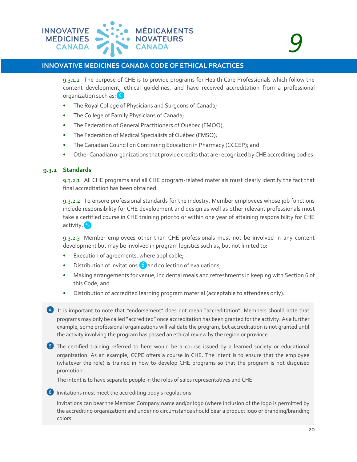

9.3.1.2 The purpose of CHE is to provide programs for Health Care Professionals which follow the content development, ethical guidelines, and have received accreditation from a professional organization such as: 4

- The Royal College of Physicians and Surgeons of Canada;
- The College of Family Physicians of Canada;
- The Federation of General Practitioners of Québec (FMOQ);
- The Federation of Medical Specialists of Québec (FMSQ);
- The Canadian Council on Continuing Education in Pharmacy (CCCEP); and
- Other Canadian organizations that provide credits that are recognized by CHE accrediting bodies.

#### **9.3.2 Standards**

9.3.2.1 All CHE programs and all CHE program-related materials must clearly identify the fact that final accreditation has been obtained.

9.3.2.2 To ensure professional standards for the industry, Member employees whose job functions include responsibility for CHE development and design as well as other relevant professionals must take a certified course in CHE training prior to or within one year of attaining responsibility for CHE activity.<sup>5</sup>

9.3.2.3 Member employees other than CHE professionals must not be involved in any content development but may be involved in program logistics such as, but not limited to:

- Execution of agreements, where applicable;
- Distribution of invitations  $\begin{pmatrix} 6 \end{pmatrix}$  and collection of evaluations;
- Making arrangements for venue, incidental meals and refreshments in keeping with Section 6 of this Code; and
- Distribution of accredited learning program material (acceptable to attendees only).

4 It is important to note that "endorsement" does not mean "accreditation". Members should note that programs may only be called "accredited" once accreditation has been granted for the activity. As a further example, some professional organizations will validate the program, but accreditation is not granted until the activity involving the program has passed an ethical review by the region or province.

❺ The certified training referred to here would be a course issued by a learned society or educational organization. As an example, CCPE offers a course in CHE. The intent is to ensure that the employee (whatever the role) is trained in how to develop CHE programs so that the program is not disguised promotion.

The intent is to have separate people in the roles of sales representatives and CHE.

❻ Invitations must meet the accrediting body's regulations.

Invitations can bear the Member Company name and/or logo (where inclusion of the logo is permitted by the accrediting organization) and under no circumstance should bear a product logo or branding/branding colors.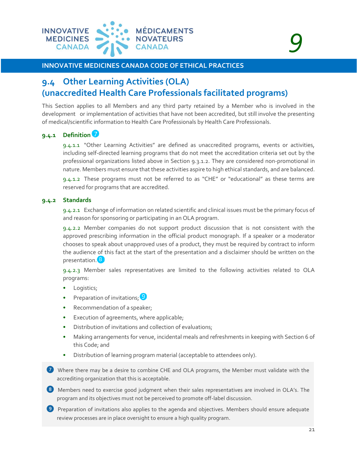

# **9.4 Other Learning Activities (OLA) (unaccredited Health Care Professionals facilitated programs)**

This Section applies to all Members and any third party retained by a Member who is involved in the development or implementation of activities that have not been accredited, but still involve the presenting of medical/scientific information to Health Care Professionals by Health Care Professionals.

#### **9.4.1 Definition**

9.4.1.1 "Other Learning Activities" are defined as unaccredited programs, events or activities, including self-directed learning programs that do not meet the accreditation criteria set out by the professional organizations listed above in Section 9.3.1.2. They are considered non-promotional in nature. Members must ensure that these activities aspire to high ethical standards, and are balanced.

9.4.1.2 These programs must not be referred to as "CHE" or "educational" as these terms are reserved for programs that are accredited.

#### **9.4.2 Standards**

9.4.2.1 Exchange of information on related scientific and clinical issues must be the primary focus of and reason for sponsoring or participating in an OLA program.

9.4.2.2 Member companies do not support product discussion that is not consistent with the approved prescribing information in the official product monograph. If a speaker or a moderator chooses to speak about unapproved uses of a product, they must be required by contract to inform the audience of this fact at the start of the presentation and a disclaimer should be written on the presentation.<sup>8</sup>

9.4.2.3 Member sales representatives are limited to the following activities related to OLA programs:

- Logistics;
- Preparation of invitations; 9
- Recommendation of a speaker;
- Execution of agreements, where applicable;
- Distribution of invitations and collection of evaluations;
- Making arrangements for venue, incidental meals and refreshments in keeping with Section 6 of this Code; and
- Distribution of learning program material (acceptable to attendees only).
- ❼ Where there may be a desire to combine CHE and OLA programs, the Member must validate with the accrediting organization that this is acceptable.
- ❽ Members need to exercise good judgment when their sales representatives are involved in OLA's. The program and its objectives must not be perceived to promote off-label discussion.
- **9** Preparation of invitations also applies to the agenda and objectives. Members should ensure adequate review processes are in place oversight to ensure a high quality program.

*<sup>9</sup>*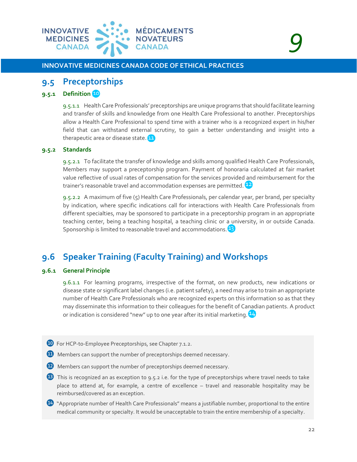

### **9.5 Preceptorships**

#### **9.5.1 Definition**

9.5.1.1 Health Care Professionals' preceptorships are unique programs that should facilitate learning and transfer of skills and knowledge from one Health Care Professional to another. Preceptorships allow a Health Care Professional to spend time with a trainer who is a recognized expert in his/her field that can withstand external scrutiny, to gain a better understanding and insight into a therapeutic area or disease state.<sup>11</sup>

#### **9.5.2 Standards**

9.5.2.1 To facilitate the transfer of knowledge and skills among qualified Health Care Professionals, Members may support a preceptorship program. Payment of honoraria calculated at fair market value reflective of usual rates of compensation for the services provided and reimbursement for the trainer's reasonable travel and accommodation expenses are permitted.

9.5.2.2 A maximum of five (5) Health Care Professionals, per calendar year, per brand, per specialty by indication, where specific indications call for interactions with Health Care Professionals from different specialties, may be sponsored to participate in a preceptorship program in an appropriate teaching center, being a teaching hospital, a teaching clinic or a university, in or outside Canada. Sponsorship is limited to reasonable travel and accommodations.<sup>[13]</sup>

## **9.6 Speaker Training (Faculty Training) and Workshops**

#### **9.6.1 General Principle**

9.6.1.1 For learning programs, irrespective of the format, on new products, new indications or disease state or significant label changes (i.e. patient safety), a need may arise to train an appropriate number of Health Care Professionals who are recognized experts on this information so as that they may disseminate this information to their colleagues for the benefit of Canadian patients. A product or indication is considered "new" up to one year after its initial marketing.

- **10** For HCP-to-Employee Preceptorships, see Chapter 7.1.2.
- **EXECUTE:** Members can support the number of preceptorships deemed necessary.
- **12** Members can support the number of preceptorships deemed necessary.
- **B** This is recognized an as exception to 9.5.2 i.e. for the type of preceptorships where travel needs to take place to attend at, for example, a centre of excellence – travel and reasonable hospitality may be reimbursed/covered as an exception.
- ⓮ "Appropriate number of Health Care Professionals" means a justifiable number, proportional to the entire medical community or specialty. It would be unacceptable to train the entire membership of a specialty.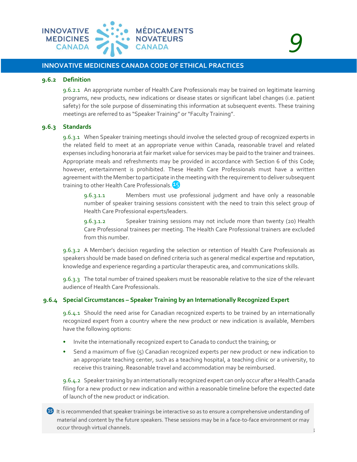

# *9*

#### **INNOVATIVE MEDICINES CANADA CODE OF ETHICAL PRACTICES**

#### **9.6.2 Definition**

9.6.2.1 An appropriate number of Health Care Professionals may be trained on legitimate learning programs, new products, new indications or disease states or significant label changes (i.e. patient safety) for the sole purpose of disseminating this information at subsequent events. These training meetings are referred to as "Speaker Training" or "Faculty Training".

#### **9.6.3 Standards**

9.6.3.1 When Speaker training meetings should involve the selected group of recognized experts in the related field to meet at an appropriate venue within Canada, reasonable travel and related expenses including honoraria at fair market value for services may be paid to the trainer and trainees. Appropriate meals and refreshments may be provided in accordance with Section 6 of this Code; however, entertainment is prohibited. These Health Care Professionals must have a written agreement with the Member to participate in the meeting with the requirement to deliver subsequent training to other Health Care Professionals.<sup>45</sup>

9.6.3.1.1 Members must use professional judgment and have only a reasonable number of speaker training sessions consistent with the need to train this select group of Health Care Professional experts/leaders.

9.6.3.1.2 Speaker training sessions may not include more than twenty (20) Health Care Professional trainees per meeting. The Health Care Professional trainers are excluded from this number.

9.6.3.2 A Member's decision regarding the selection or retention of Health Care Professionals as speakers should be made based on defined criteria such as general medical expertise and reputation, knowledge and experience regarding a particular therapeutic area, and communications skills.

9.6.3.3 The total number of trained speakers must be reasonable relative to the size of the relevant audience of Health Care Professionals.

#### **9.6.4 Special Circumstances – Speaker Training by an Internationally Recognized Expert**

9.6.4.1 Should the need arise for Canadian recognized experts to be trained by an internationally recognized expert from a country where the new product or new indication is available, Members have the following options:

- Invite the internationally recognized expert to Canada to conduct the training; or
- Send a maximum of five (5) Canadian recognized experts per new product or new indication to an appropriate teaching center, such as a teaching hospital, a teaching clinic or a university, to receive this training. Reasonable travel and accommodation may be reimbursed.

9.6.4.2 Speaker training by an internationally recognized expert can only occur after a Health Canada filing for a new product or new indication and within a reasonable timeline before the expected date of launch of the new product or indication.

23  $\bullet$  It is recommended that speaker trainings be interactive so as to ensure a comprehensive understanding of material and content by the future speakers. These sessions may be in a face-to-face environment or may occur through virtual channels.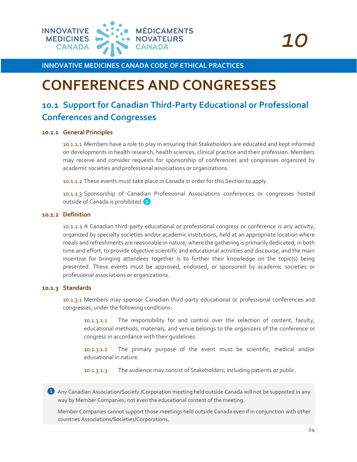

# <span id="page-23-0"></span>**CONFERENCES AND CONGRESSES**

# **10.1 Support for Canadian Third-Party Educational or Professional Conferences and Congresses**

#### **10.1.1 General Principles**

10.1.1.1 Members have a role to play in ensuring that Stakeholders are educated and kept informed on developments in health research, health sciences, clinical practice and their profession. Members may receive and consider requests for sponsorship of conferences and congresses organized by academic societies and professional associations or organizations.

10.1.1.2 These events must take place in Canada in order for this Section to apply.

10.1.1.3 Sponsorship of Canadian Professional Associations conferences or congresses hosted outside of Canada is prohibited.<sup>1</sup>

#### **10.1.2 Definition**

10.1.2.1 A Canadian third-party educational or professional congress or conference is any activity, organized by specialty societies and/or academic institutions, held at an appropriate location where meals and refreshments are reasonable in nature, where the gathering is primarily dedicated, in both time and effort, to provide objective scientific and educational activities and discourse, and the main incentive for bringing attendees together is to further their knowledge on the topic(s) being presented. These events must be approved, endorsed, or sponsored by academic societies or professional associations or organizations.

#### **10.1.3 Standards**

10.1.3.1 Members may sponsor Canadian third-party educational or professional conferences and congresses, under the following conditions:

10.1.3.1.1 The responsibility for and control over the selection of content, faculty, educational methods, materials, and venue belongs to the organizers of the conference or congress in accordance with their guidelines.

10.1.3.1.2 The primary purpose of the event must be scientific, medical and/or educational in nature.

10.1.3.1.3 The audience may consist of Stakeholders, including patients or public.

**1** Any Canadian Association/Society /Corporation meeting held outside Canada will not be supported in any way by Member Companies, not even the educational content of the meeting.

Member Companies cannot support those meetings held outside Canada even if in conjunction with other countries Associations/Societies/Corporations.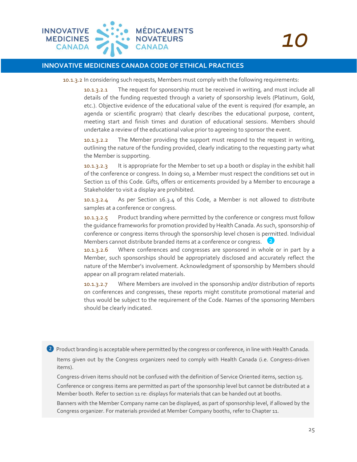

10.1.3.2 In considering such requests, Members must comply with the following requirements:

10.1.3.2.1 The request for sponsorship must be received in writing, and must include all details of the funding requested through a variety of sponsorship levels (Platinum, Gold, etc.). Objective evidence of the educational value of the event is required (for example, an agenda or scientific program) that clearly describes the educational purpose, content, meeting start and finish times and duration of educational sessions. Members should undertake a review of the educational value prior to agreeing to sponsor the event.

10.1.3.2.2 The Member providing the support must respond to the request in writing, outlining the nature of the funding provided, clearly indicating to the requesting party what the Member is supporting.

10.1.3.2.3 It is appropriate for the Member to set up a booth or display in the exhibit hall of the conference or congress. In doing so, a Member must respect the conditions set out in Section 11 of this Code. Gifts, offers or enticements provided by a Member to encourage a Stakeholder to visit a display are prohibited.

10.1.3.2.4 As per Section 16.3.4 of this Code, a Member is not allowed to distribute samples at a conference or congress.

10.1.3.2.5 Product branding where permitted by the conference or congress must follow the guidance frameworks for promotion provided by Health Canada. As such, sponsorship of conference or congress items through the sponsorship level chosen is permitted. Individual Members cannot distribute branded items at a conference or congress.

10.1.3.2.6 Where conferences and congresses are sponsored in whole or in part by a Member, such sponsorships should be appropriately disclosed and accurately reflect the nature of the Member's involvement. Acknowledgment of sponsorship by Members should appear on all program related materials.

10.1.3.2.7 Where Members are involved in the sponsorship and/or distribution of reports on conferences and congresses, these reports might constitute promotional material and thus would be subject to the requirement of the Code. Names of the sponsoring Members should be clearly indicated.

❷ Product branding is acceptable where permitted by the congress or conference, in line with Health Canada.

Items given out by the Congress organizers need to comply with Health Canada (i.e. Congress-driven items).

Congress-driven items should not be confused with the definition of Service Oriented items, section 15.

Conference or congress items are permitted as part of the sponsorship level but cannot be distributed at a Member booth. Refer to section 11 re: displays for materials that can be handed out at booths.

Banners with the Member Company name can be displayed, as part of sponsorship level, if allowed by the Congress organizer. For materials provided at Member Company booths, refer to Chapter 11.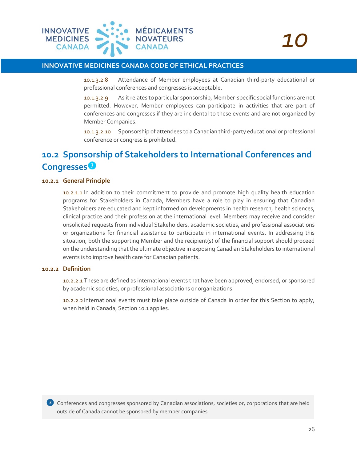

10.1.3.2.8 Attendance of Member employees at Canadian third-party educational or professional conferences and congresses is acceptable.

10.1.3.2.9 As it relates to particular sponsorship, Member-specific social functions are not permitted. However, Member employees can participate in activities that are part of conferences and congresses if they are incidental to these events and are not organized by Member Companies.

10.1.3.2.10 Sponsorship of attendees to a Canadian third-party educational or professional conference or congress is prohibited.

# **10.2 Sponsorship of Stakeholders to International Conferences and Congresses**

#### **10.2.1 General Principle**

10.2.1.1 In addition to their commitment to provide and promote high quality health education programs for Stakeholders in Canada, Members have a role to play in ensuring that Canadian Stakeholders are educated and kept informed on developments in health research, health sciences, clinical practice and their profession at the international level. Members may receive and consider unsolicited requests from individual Stakeholders, academic societies, and professional associations or organizations for financial assistance to participate in international events. In addressing this situation, both the supporting Member and the recipient(s) of the financial support should proceed on the understanding that the ultimate objective in exposing Canadian Stakeholders to international events is to improve health care for Canadian patients.

#### **10.2.2 Definition**

10.2.2.1 These are defined as international events that have been approved, endorsed, or sponsored by academic societies, or professional associations or organizations.

10.2.2.2 International events must take place outside of Canada in order for this Section to apply; when held in Canada, Section 10.1 applies.

<sup>3</sup> Conferences and congresses sponsored by Canadian associations, societies or, corporations that are held outside of Canada cannot be sponsored by member companies.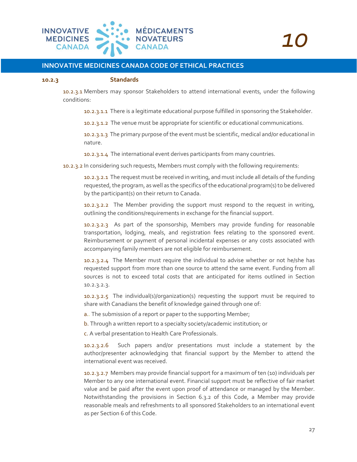

#### **10.2.3 Standards**

10.2.3.1 Members may sponsor Stakeholders to attend international events, under the following conditions:

10.2.3.1.1 There is a legitimate educational purpose fulfilled in sponsoring the Stakeholder.

10.2.3.1.2 The venue must be appropriate for scientific or educational communications.

10.2.3.1.3 The primary purpose of the event must be scientific, medical and/or educational in nature.

10.2.3.1.4 The international event derives participants from many countries.

10.2.3.2 In considering such requests, Members must comply with the following requirements:

10.2.3.2.1 The request must be received in writing, and must include all details of the funding requested, the program, as well as the specifics of the educational program(s) to be delivered by the participant(s) on their return to Canada.

10.2.3.2.2 The Member providing the support must respond to the request in writing, outlining the conditions/requirements in exchange for the financial support.

10.2.3.2.3 As part of the sponsorship, Members may provide funding for reasonable transportation, lodging, meals, and registration fees relating to the sponsored event. Reimbursement or payment of personal incidental expenses or any costs associated with accompanying family members are not eligible for reimbursement.

10.2.3.2.4 The Member must require the individual to advise whether or not he/she has requested support from more than one source to attend the same event. Funding from all sources is not to exceed total costs that are anticipated for items outlined in Section 10.2.3.2.3.

10.2.3.2.5 The individual(s)/organization(s) requesting the support must be required to share with Canadians the benefit of knowledge gained through one of:

a.. The submission of a report or paper to the supporting Member;

b. Through a written report to a specialty society/academic institution; or

c. A verbal presentation to Health Care Professionals.

10.2.3.2.6 Such papers and/or presentations must include a statement by the author/presenter acknowledging that financial support by the Member to attend the international event was received.

10.2.3.2.7 Members may provide financial support for a maximum of ten (10) individuals per Member to any one international event. Financial support must be reflective of fair market value and be paid after the event upon proof of attendance or managed by the Member. Notwithstanding the provisions in Section 6.3.2 of this Code, a Member may provide reasonable meals and refreshments to all sponsored Stakeholders to an international event as per Section 6 of this Code.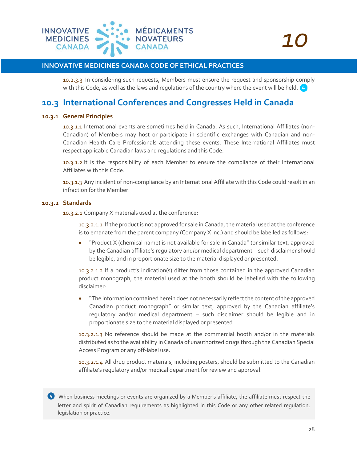

10.2.3.3 In considering such requests, Members must ensure the request and sponsorship comply with this Code, as well as the laws and requlations of the country where the event will be held.  $\overline{4}$ 

### **10.3 International Conferences and Congresses Held in Canada**

#### **10.3.1 General Principles**

10.3.1.1 International events are sometimes held in Canada. As such, International Affiliates (non-Canadian) of Members may host or participate in scientific exchanges with Canadian and non-Canadian Health Care Professionals attending these events. These International Affiliates must respect applicable Canadian laws and regulations and this Code.

10.3.1.2 It is the responsibility of each Member to ensure the compliance of their International Affiliates with this Code.

10.3.1.3 Any incident of non-compliance by an International Affiliate with this Code could result in an infraction for the Member.

#### **10.3.2 Standards**

10.3.2.1 Company X materials used at the conference:

10.3.2.1.1 If the product is not approved for sale in Canada, the material used at the conference is to emanate from the parent company (Company X Inc.) and should be labelled as follows:

• "Product X (chemical name) is not available for sale in Canada" (or similar text, approved by the Canadian affiliate's regulatory and/or medical department – such disclaimer should be legible, and in proportionate size to the material displayed or presented.

10.3.2.1.2 If a product's indication(s) differ from those contained in the approved Canadian product monograph, the material used at the booth should be labelled with the following disclaimer:

• "The information contained herein does not necessarily reflect the content of the approved Canadian product monograph" or similar text, approved by the Canadian affiliate's regulatory and/or medical department – such disclaimer should be legible and in proportionate size to the material displayed or presented.

10.3.2.1.3 No reference should be made at the commercial booth and/or in the materials distributed as to the availability in Canada of unauthorized drugs through the Canadian Special Access Program or any off-label use.

10.3.2.1.4 All drug product materials, including posters, should be submitted to the Canadian affiliate's regulatory and/or medical department for review and approval.

**4** When business meetings or events are organized by a Member's affiliate, the affiliate must respect the letter and spirit of Canadian requirements as highlighted in this Code or any other related regulation, legislation or practice.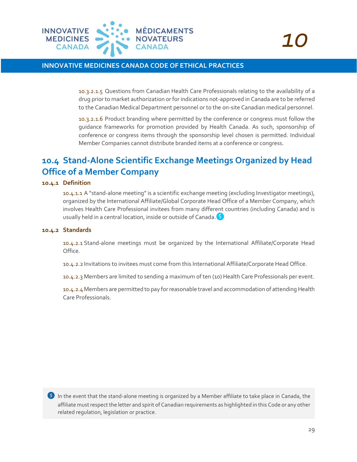

10.3.2.1.5 Questions from Canadian Health Care Professionals relating to the availability of a drug prior to market authorization or for indications not-approved in Canada are to be referred to the Canadian Medical Department personnel or to the on-site Canadian medical personnel.

10.3.2.1.6 Product branding where permitted by the conference or congress must follow the guidance frameworks for promotion provided by Health Canada. As such, sponsorship of conference or congress items through the sponsorship level chosen is permitted. Individual Member Companies cannot distribute branded items at a conference or congress.

# **10.4 Stand-Alone Scientific Exchange Meetings Organized by Head Office of a Member Company**

#### **10.4.1 Definition**

10.4.1.1 A "stand-alone meeting" is a scientific exchange meeting (excluding Investigator meetings), organized by the International Affiliate/Global Corporate Head Office of a Member Company, which involves Health Care Professional invitees from many different countries (including Canada) and is usually held in a central location, inside or outside of Canada.  $\begin{bmatrix} 5 \end{bmatrix}$ 

#### **10.4.2 Standards**

10.4.2.1 Stand-alone meetings must be organized by the International Affiliate/Corporate Head Office.

10.4.2.2 Invitations to invitees must come from this International Affiliate/Corporate Head Office.

10.4.2.3 Members are limited to sending a maximum of ten (10) Health Care Professionals per event.

10.4.2.4Members are permitted to pay for reasonable travel and accommodation of attending Health Care Professionals.

❺ In the event that the stand-alone meeting is organized by a Member affiliate to take place in Canada, the affiliate must respect the letter and spirit of Canadian requirements as highlighted in this Code or any other related regulation, legislation or practice.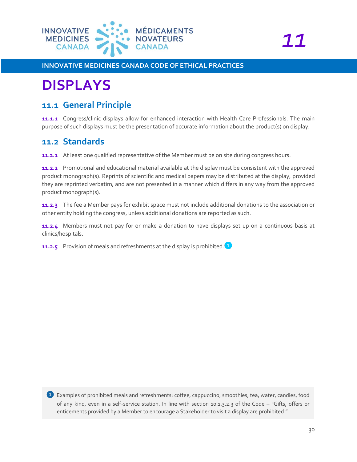![](_page_29_Picture_0.jpeg)

# <span id="page-29-0"></span>**DISPLAYS**

### **11.1 General Principle**

**11.1.1** Congress/clinic displays allow for enhanced interaction with Health Care Professionals. The main purpose of such displays must be the presentation of accurate information about the product(s) on display.

### **11.2 Standards**

**11.2.1** At least one qualified representative of the Member must be on site during congress hours.

**11.2.2** Promotional and educational material available at the display must be consistent with the approved product monograph(s). Reprints of scientific and medical papers may be distributed at the display, provided they are reprinted verbatim, and are not presented in a manner which differs in any way from the approved product monograph(s).

**11.2.3** The fee a Member pays for exhibit space must not include additional donations to the association or other entity holding the congress, unless additional donations are reported as such.

**11.2.4** Members must not pay for or make a donation to have displays set up on a continuous basis at clinics/hospitals.

**11.2.5** Provision of meals and refreshments at the display is prohibited.<sup>1</sup>

❶ Examples of prohibited meals and refreshments: coffee, cappuccino, smoothies, tea, water, candies, food of any kind, even in a self-service station. In line with section 10.1.3.2.3 of the Code – "Gifts, offers or enticements provided by a Member to encourage a Stakeholder to visit a display are prohibited."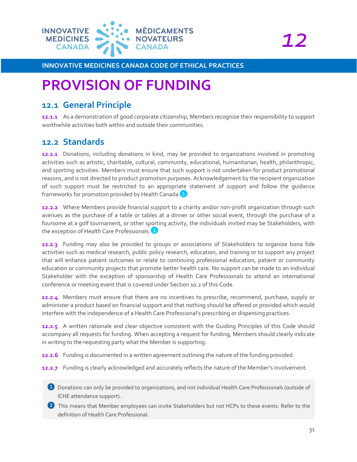![](_page_30_Picture_0.jpeg)

*12*

**INNOVATIVE MEDICINES CANADA CODE OF ETHICAL PRACTICES**

# <span id="page-30-0"></span>**PROVISION OF FUNDING**

### **12.1 General Principle**

**12.1.1** As a demonstration of good corporate citizenship, Members recognize their responsibility to support worthwhile activities both within and outside their communities.

# **12.2 Standards**

**12.2.1** Donations, including donations in kind, may be provided to organizations involved in promoting activities such as artistic, charitable, cultural, community, educational, humanitarian, health, philanthropic, and sporting activities. Members must ensure that such support is not undertaken for product promotional reasons, and is not directed to product promotion purposes. Acknowledgement by the recipient organization of such support must be restricted to an appropriate statement of support and follow the guidance frameworks for promotion provided by Health Canada.

**12.2.2** Where Members provide financial support to a charity and/or non-profit organization through such avenues as the purchase of a table or tables at a dinner or other social event, through the purchase of a foursome at a golf tournament, or other sporting activity, the individuals invited may be Stakeholders, with the exception of Health Care Professionals.<sup>2</sup>

**12.2.3** Funding may also be provided to groups or associations of Stakeholders to organize bona fide activities such as medical research, public policy research, education, and training or to support any project that will enhance patient outcomes or relate to continuing professional education, patient or community education or community projects that promote better health care. No support can be made to an individual Stakeholder with the exception of sponsorship of Health Care Professionals to attend an international conference or meeting event that is covered under Section 10.2 of this Code.

**12.2.4** Members must ensure that there are no incentives to prescribe, recommend, purchase, supply or administer a product based on financial support and that nothing should be offered or provided which would interfere with the independence of a Health Care Professional's prescribing or dispensing practices.

**12.2.5** A written rationale and clear objective consistent with the Guiding Principles of this Code should accompany all requests for funding. When accepting a request for funding, Members should clearly indicate in writing to the requesting party what the Member is supporting.

**12.2.6** Funding is documented in a written agreement outlining the nature of the funding provided.

**12.2.7** Funding is clearly acknowledged and accurately reflects the nature of the Member's involvement.

- ❶ Donations can only be provided to organizations, and not individual Health Care Professionals (outside of ICHE attendance support).
- 2 This means that Member employees can invite Stakeholders but not HCPs to these events. Refer to the definition of Health Care Professional.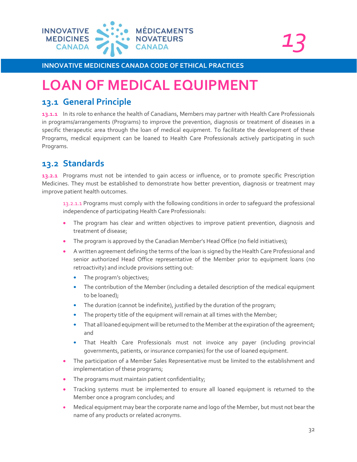![](_page_31_Picture_0.jpeg)

```
13
```
# <span id="page-31-0"></span>**LOAN OF MEDICAL EQUIPMENT**

## **13.1 General Principle**

**13.1.1** In its role to enhance the health of Canadians, Members may partner with Health Care Professionals in programs/arrangements (Programs) to improve the prevention, diagnosis or treatment of diseases in a specific therapeutic area through the loan of medical equipment. To facilitate the development of these Programs, medical equipment can be loaned to Health Care Professionals actively participating in such Programs.

# **13.2 Standards**

**13.2.1** Programs must not be intended to gain access or influence, or to promote specific Prescription Medicines. They must be established to demonstrate how better prevention, diagnosis or treatment may improve patient health outcomes.

13.2.1.1 Programs must comply with the following conditions in order to safeguard the professional independence of participating Health Care Professionals:

- The program has clear and written objectives to improve patient prevention, diagnosis and treatment of disease;
- The program is approved by the Canadian Member's Head Office (no field initiatives);
- A written agreement defining the terms of the loan is signed by the Health Care Professional and senior authorized Head Office representative of the Member prior to equipment loans (no retroactivity) and include provisions setting out:
	- The program's objectives;
	- The contribution of the Member (including a detailed description of the medical equipment to be loaned);
	- The duration (cannot be indefinite), justified by the duration of the program;
	- The property title of the equipment will remain at all times with the Member;
	- That all loaned equipment will be returned to the Member at the expiration of the agreement; and
	- That Health Care Professionals must not invoice any payer (including provincial governments, patients, or insurance companies) for the use of loaned equipment.
- The participation of a Member Sales Representative must be limited to the establishment and implementation of these programs;
- The programs must maintain patient confidentiality;
- Tracking systems must be implemented to ensure all loaned equipment is returned to the Member once a program concludes; and
- Medical equipment may bear the corporate name and logo of the Member, but must not bear the name of any products or related acronyms.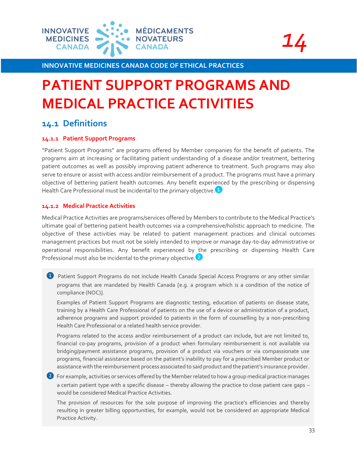![](_page_32_Picture_0.jpeg)

![](_page_32_Picture_1.jpeg)

# <span id="page-32-0"></span>**PATIENT SUPPORT PROGRAMS AND MEDICAL PRACTICE ACTIVITIES**

### **14.1 Definitions**

#### **14.1.1 Patient Support Programs**

"Patient Support Programs" are programs offered by Member companies for the benefit of patients. The programs aim at increasing or facilitating patient understanding of a disease and/or treatment, bettering patient outcomes as well as possibly improving patient adherence to treatment. Such programs may also serve to ensure or assist with access and/or reimbursement of a product. The programs must have a primary objective of bettering patient health outcomes. Any benefit experienced by the prescribing or dispensing Health Care Professional must be incidental to the primary objective.<sup>1</sup>

#### **14.1.2 Medical Practice Activities**

Medical Practice Activities are programs/services offered by Members to contribute to the Medical Practice's ultimate goal of bettering patient health outcomes via a comprehensive/holistic approach to medicine. The objective of these activities may be related to patient management practices and clinical outcomes management practices but must not be solely intended to improve or manage day-to-day administrative or operational responsibilities. Any benefit experienced by the prescribing or dispensing Health Care Professional must also be incidental to the primary objective.<sup>2</sup>

❶ Patient Support Programs do not include Health Canada Special Access Programs or any other similar programs that are mandated by Health Canada [e.g. a program which is a condition of the notice of compliance (NOC)].

Examples of Patient Support Programs are diagnostic testing, education of patients on disease state, training by a Health Care Professional of patients on the use of a device or administration of a product, adherence programs and support provided to patients in the form of counselling by a non-prescribing Health Care Professional or a related health service provider.

Programs related to the access and/or reimbursement of a product can include, but are not limited to, financial co-pay programs, provision of a product when formulary reimbursement is not available via bridging/payment assistance programs, provision of a product via vouchers or via compassionate use programs, financial assistance based on the patient's inability to pay for a prescribed Member product or assistance with the reimbursement process associated to said product and the patient's insurance provider.

2 For example, activities or services offered by the Member related to how a group medical practice manages a certain patient type with a specific disease – thereby allowing the practice to close patient care gaps – would be considered Medical Practice Activities.

The provision of resources for the sole purpose of improving the practice's efficiencies and thereby resulting in greater billing opportunities, for example, would not be considered an appropriate Medical Practice Activity.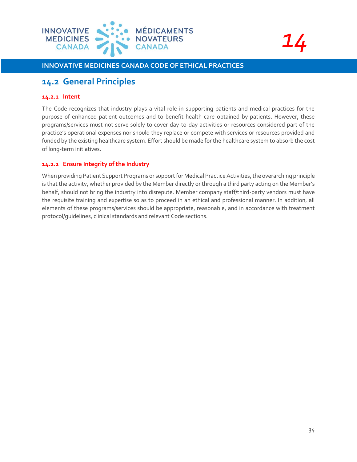![](_page_33_Picture_0.jpeg)

![](_page_33_Picture_1.jpeg)

### **14.2 General Principles**

#### **14.2.1 Intent**

The Code recognizes that industry plays a vital role in supporting patients and medical practices for the purpose of enhanced patient outcomes and to benefit health care obtained by patients. However, these programs/services must not serve solely to cover day-to-day activities or resources considered part of the practice's operational expenses nor should they replace or compete with services or resources provided and funded by the existing healthcare system. Effort should be made for the healthcare system to absorb the cost of long-term initiatives.

#### **14.2.2 Ensure Integrity of the Industry**

When providing Patient Support Programs or support for Medical Practice Activities, the overarching principle is that the activity, whether provided by the Member directly or through a third party acting on the Member's behalf, should not bring the industry into disrepute. Member company staff/third-party vendors must have the requisite training and expertise so as to proceed in an ethical and professional manner. In addition, all elements of these programs/services should be appropriate, reasonable, and in accordance with treatment protocol/guidelines, clinical standards and relevant Code sections.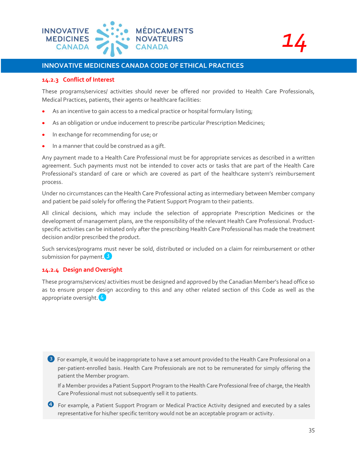![](_page_34_Picture_0.jpeg)

![](_page_34_Picture_1.jpeg)

#### **14.2.3 Conflict of Interest**

These programs/services/ activities should never be offered nor provided to Health Care Professionals, Medical Practices, patients, their agents or healthcare facilities:

- As an incentive to gain access to a medical practice or hospital formulary listing;
- As an obligation or undue inducement to prescribe particular Prescription Medicines;
- In exchange for recommending for use; or
- In a manner that could be construed as a gift.

Any payment made to a Health Care Professional must be for appropriate services as described in a written agreement. Such payments must not be intended to cover acts or tasks that are part of the Health Care Professional's standard of care or which are covered as part of the healthcare system's reimbursement process.

Under no circumstances can the Health Care Professional acting as intermediary between Member company and patient be paid solely for offering the Patient Support Program to their patients.

All clinical decisions, which may include the selection of appropriate Prescription Medicines or the development of management plans, are the responsibility of the relevant Health Care Professional. Productspecific activities can be initiated only after the prescribing Health Care Professional has made the treatment decision and/or prescribed the product.

Such services/programs must never be sold, distributed or included on a claim for reimbursement or other submission for payment.<sup>3</sup>

#### **14.2.4 Design and Oversight**

These programs/services/ activities must be designed and approved by the Canadian Member's head office so as to ensure proper design according to this and any other related section of this Code as well as the appropriate oversight. 4

<sup>3</sup> For example, it would be inappropriate to have a set amount provided to the Health Care Professional on a per-patient-enrolled basis. Health Care Professionals are not to be remunerated for simply offering the patient the Member program.

If a Member provides a Patient Support Program to the Health Care Professional free of charge, the Health Care Professional must not subsequently sell it to patients.

 For example, a Patient Support Program or Medical Practice Activity designed and executed by a sales representative for his/her specific territory would not be an acceptable program or activity.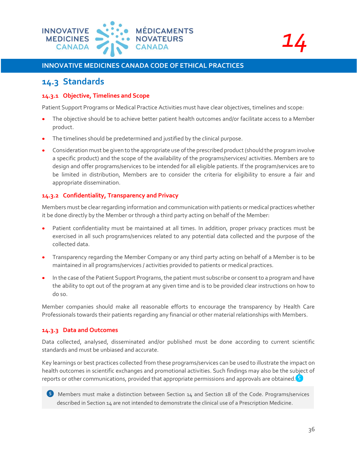![](_page_35_Picture_0.jpeg)

![](_page_35_Picture_1.jpeg)

### **14.3 Standards**

#### **14.3.1 Objective, Timelines and Scope**

Patient Support Programs or Medical Practice Activities must have clear objectives, timelines and scope:

- The objective should be to achieve better patient health outcomes and/or facilitate access to a Member product.
- The timelines should be predetermined and justified by the clinical purpose.
- Consideration must be given to the appropriate use of the prescribed product (should the program involve a specific product) and the scope of the availability of the programs/services/ activities. Members are to design and offer programs/services to be intended for all eligible patients. If the program/services are to be limited in distribution, Members are to consider the criteria for eligibility to ensure a fair and appropriate dissemination.

#### **14.3.2 Confidentiality, Transparency and Privacy**

Members must be clear regarding information and communication with patients or medical practices whether it be done directly by the Member or through a third party acting on behalf of the Member:

- Patient confidentiality must be maintained at all times. In addition, proper privacy practices must be exercised in all such programs/services related to any potential data collected and the purpose of the collected data.
- Transparency regarding the Member Company or any third party acting on behalf of a Member is to be maintained in all programs/services / activities provided to patients or medical practices.
- In the case of the Patient Support Programs, the patient must subscribe or consent to a program and have the ability to opt out of the program at any given time and is to be provided clear instructions on how to do so.

Member companies should make all reasonable efforts to encourage the transparency by Health Care Professionals towards their patients regarding any financial or other material relationships with Members.

#### **14.3.3 Data and Outcomes**

Data collected, analysed, disseminated and/or published must be done according to current scientific standards and must be unbiased and accurate.

Key learnings or best practices collected from these programs/services can be used to illustrate the impact on health outcomes in scientific exchanges and promotional activities. Such findings may also be the subject of reports or other communications, provided that appropriate permissions and approvals are obtained.  $5$ 

![](_page_35_Picture_18.jpeg)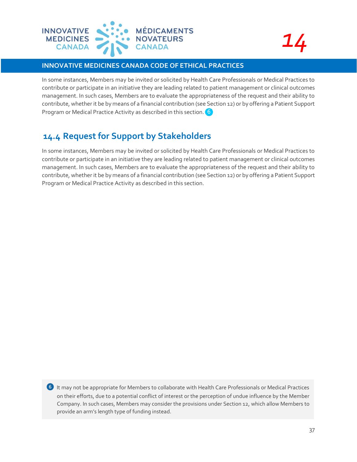![](_page_36_Picture_0.jpeg)

*14*

In some instances, Members may be invited or solicited by Health Care Professionals or Medical Practices to contribute or participate in an initiative they are leading related to patient management or clinical outcomes management. In such cases, Members are to evaluate the appropriateness of the request and their ability to contribute, whether it be by means of a financial contribution (see Section 12) or by offering a Patient Support Program or Medical Practice Activity as described in this section. 6

# **14.4 Request for Support by Stakeholders**

In some instances, Members may be invited or solicited by Health Care Professionals or Medical Practices to contribute or participate in an initiative they are leading related to patient management or clinical outcomes management. In such cases, Members are to evaluate the appropriateness of the request and their ability to contribute, whether it be by means of a financial contribution (see Section 12) or by offering a Patient Support Program or Medical Practice Activity as described in this section.

6 It may not be appropriate for Members to collaborate with Health Care Professionals or Medical Practices on their efforts, due to a potential conflict of interest or the perception of undue influence by the Member Company. In such cases, Members may consider the provisions under Section 12, which allow Members to provide an arm's length type of funding instead.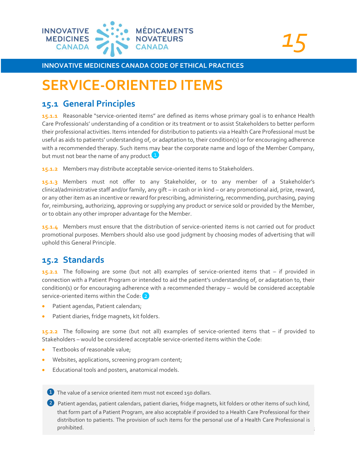![](_page_37_Picture_0.jpeg)

*15*

# <span id="page-37-0"></span>**SERVICE-ORIENTED ITEMS**

### **15.1 General Principles**

**15.1.1** Reasonable "service-oriented items" are defined as items whose primary goal is to enhance Health Care Professionals' understanding of a condition or its treatment or to assist Stakeholders to better perform their professional activities. Items intended for distribution to patients via a Health Care Professional must be useful as aids to patients' understanding of, or adaptation to, their condition(s) or for encouraging adherence with a recommended therapy. Such items may bear the corporate name and logo of the Member Company, but must not bear the name of any product.<sup>1</sup>

**15.1.2** Members may distribute acceptable service-oriented items to Stakeholders.

**15.1.3** Members must not offer to any Stakeholder, or to any member of a Stakeholder's clinical/administrative staff and/or family, any gift – in cash or in kind – or any promotional aid, prize, reward, or any other item as an incentive or reward for prescribing, administering, recommending, purchasing, paying for, reimbursing, authorizing, approving or supplying any product or service sold or provided by the Member, or to obtain any other improper advantage for the Member.

**15.1.4** Members must ensure that the distribution of service-oriented items is not carried out for product promotional purposes. Members should also use good judgment by choosing modes of advertising that will uphold this General Principle.

# **15.2 Standards**

**15.2.1** The following are some (but not all) examples of service-oriented items that – if provided in connection with a Patient Program or intended to aid the patient's understanding of, or adaptation to, their condition(s) or for encouraging adherence with a recommended therapy – would be considered acceptable service-oriented items within the Code: 2

- Patient agendas, Patient calendars;
- Patient diaries, fridge magnets, kit folders.

**15.2.2** The following are some (but not all) examples of service-oriented items that – if provided to Stakeholders – would be considered acceptable service-oriented items within the Code:

- Textbooks of reasonable value;
- Websites, applications, screening program content;
- Educational tools and posters, anatomical models.

**1** The value of a service oriented item must not exceed 150 dollars.

❷ Patient agendas, patient calendars, patient diaries, fridge magnets, kit folders or other items of such kind, that form part of a Patient Program, are also acceptable if provided to a Health Care Professional for their distribution to patients. The provision of such items for the personal use of a Health Care Professional is prohibited.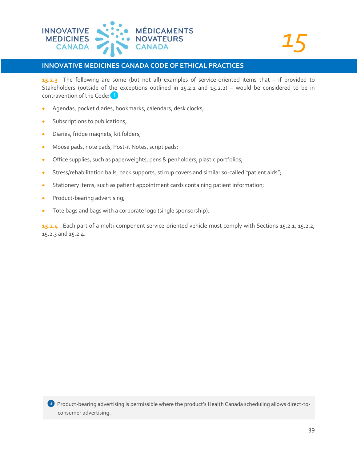![](_page_38_Picture_0.jpeg)

**15.2.3** The following are some (but not all) examples of service-oriented items that – if provided to Stakeholders (outside of the exceptions outlined in 15.2.1 and 15.2.2) – would be considered to be in contravention of the Code: <sup>3</sup>

- Agendas, pocket diaries, bookmarks, calendars, desk clocks;
- Subscriptions to publications;
- Diaries, fridge magnets, kit folders;
- Mouse pads, note pads, Post-it Notes, script pads;
- Office supplies, such as paperweights, pens & penholders, plastic portfolios;
- Stress/rehabilitation balls, back supports, stirrup covers and similar so-called "patient aids";
- Stationery items, such as patient appointment cards containing patient information;
- Product-bearing advertising;
- Tote bags and bags with a corporate logo (single sponsorship).

**15.2.4** Each part of a multi-component service-oriented vehicle must comply with Sections 15.2.1, 15.2.2, 15.2.3 and 15.2.4.

❸ Product-bearing advertising is permissible where the product's Health Canada scheduling allows direct-toconsumer advertising.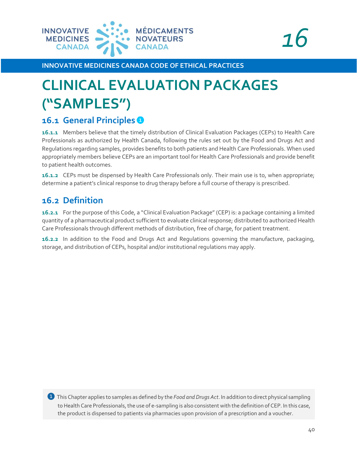![](_page_39_Picture_0.jpeg)

![](_page_39_Picture_1.jpeg)

# <span id="page-39-0"></span>**CLINICAL EVALUATION PACKAGES ("SAMPLES")**

# **16.1 General Principles**

**16.1.1** Members believe that the timely distribution of Clinical Evaluation Packages (CEPs) to Health Care Professionals as authorized by Health Canada, following the rules set out by the Food and Drugs Act and Regulations regarding samples, provides benefits to both patients and Health Care Professionals. When used appropriately members believe CEPs are an important tool for Health Care Professionals and provide benefit to patient health outcomes.

**16.1.2** CEPs must be dispensed by Health Care Professionals only. Their main use is to, when appropriate; determine a patient's clinical response to drug therapy before a full course of therapy is prescribed.

# **16.2 Definition**

**16.2.1** For the purpose of this Code, a "Clinical Evaluation Package" (CEP) is: a package containing a limited quantity of a pharmaceutical product sufficient to evaluate clinical response; distributed to authorized Health Care Professionals through different methods of distribution, free of charge, for patient treatment.

**16.2.2** In addition to the Food and Drugs Act and Regulations governing the manufacture, packaging, storage, and distribution of CEPs, hospital and/or institutional regulations may apply.

❶ This Chapter applies to samples as defined by the *Food and Drugs Act*. In addition to direct physical sampling to Health Care Professionals, the use of e-sampling is also consistent with the definition of CEP. In this case, the product is dispensed to patients via pharmacies upon provision of a prescription and a voucher.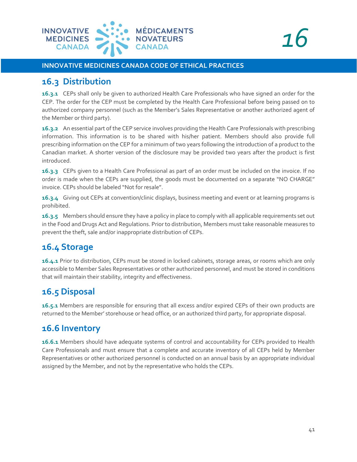![](_page_40_Picture_0.jpeg)

### **16.3 Distribution**

**16.3.1** CEPs shall only be given to authorized Health Care Professionals who have signed an order for the CEP. The order for the CEP must be completed by the Health Care Professional before being passed on to authorized company personnel (such as the Member's Sales Representative or another authorized agent of the Member or third party).

**16.3.2** An essential part of the CEP service involves providing the Health Care Professionals with prescribing information. This information is to be shared with his/her patient. Members should also provide full prescribing information on the CEP for a minimum of two years following the introduction of a product to the Canadian market. A shorter version of the disclosure may be provided two years after the product is first introduced.

**16.3.3** CEPs given to a Health Care Professional as part of an order must be included on the invoice. If no order is made when the CEPs are supplied, the goods must be documented on a separate "NO CHARGE" invoice. CEPs should be labeled "Not for resale".

**16.3.4** Giving out CEPs at convention/clinic displays, business meeting and event or at learning programs is prohibited.

**16.3.5** Members should ensure they have a policy in place to comply with all applicable requirements set out in the Food and Drugs Act and Regulations. Prior to distribution, Members must take reasonable measures to prevent the theft, sale and/or inappropriate distribution of CEPs.

# **16.4 Storage**

**16.4.1** Prior to distribution, CEPs must be stored in locked cabinets, storage areas, or rooms which are only accessible to Member Sales Representatives or other authorized personnel, and must be stored in conditions that will maintain their stability, integrity and effectiveness.

# **16.5 Disposal**

**16.5.1** Members are responsible for ensuring that all excess and/or expired CEPs of their own products are returned to the Member' storehouse or head office, or an authorized third party, for appropriate disposal.

## **16.6 Inventory**

**16.6.1** Members should have adequate systems of control and accountability for CEPs provided to Health Care Professionals and must ensure that a complete and accurate inventory of all CEPs held by Member Representatives or other authorized personnel is conducted on an annual basis by an appropriate individual assigned by the Member, and not by the representative who holds the CEPs.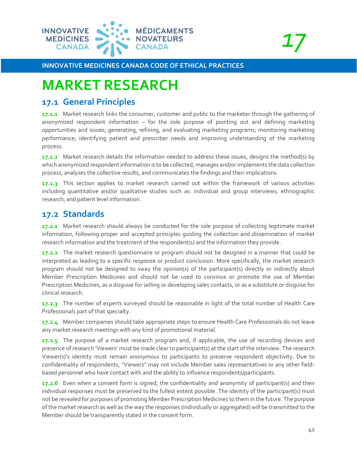![](_page_41_Picture_0.jpeg)

# <span id="page-41-0"></span>**MARKET RESEARCH**

## **17.1 General Principles**

**17.1.1** Market research links the consumer, customer and public to the marketer through the gathering of anonymized respondent information – for the sole purpose of pointing out and defining marketing opportunities and issues; generating, refining, and evaluating marketing programs; monitoring marketing performance; identifying patient and prescriber needs and improving understanding of the marketing process.

**17.1.2** Market research details the information needed to address these issues, designs the method(s) by which anonymized respondent information is to be collected, manages and/or implements the data collection process, analyzes the collective results, and communicates the findings and their implications.

**17.1.3** This section applies to market research carried out within the framework of various activities including quantitative and/or qualitative studies such as: individual and group interviews, ethnographic research, and patient level information.

# **17.2 Standards**

**17.2.1** Market research should always be conducted for the sole purpose of collecting legitimate market information, following proper and accepted principles guiding the collection and dissemination of market research information and the treatment of the respondent(s) and the information they provide.

**17.2.2** The market research questionnaire or program should not be designed in a manner that could be interpreted as leading to a specific response or product conclusion. More specifically, the market research program should not be designed to sway the opinion(s) of the participant(s) directly or indirectly about Member Prescription Medicines and should not be used to convince or promote the use of Member Prescription Medicines, as a disguise for selling or developing sales contacts, or as a substitute or disguise for clinical research.

**17.2.3** The number of experts surveyed should be reasonable in light of the total number of Health Care Professionals part of that specialty.

**17.2.4** Member companies should take appropriate steps to ensure Health Care Professionals do not leave any market research meetings with any kind of promotional material.

**17.2.5** The purpose of a market research program and, if applicable, the use of recording devices and presence of research 'Viewers' must be made clear to participant(s) at the start of the interview. The research Viewer(s)'s identity must remain anonymous to participants to preserve respondent objectivity. Due to confidentiality of respondents, "Viewers" may not include Member sales representatives or any other fieldbased personnel who have contact with and the ability to influence respondents/participants.

**17.2.6** Even when a consent form is signed, the confidentiality and anonymity of participant(s) and their individual responses must be preserved to the fullest extent possible. The identity of the participant(s) must not be revealed for purposes of promoting Member Prescription Medicines to them in the future. The purpose of the market research as well as the way the responses (individually or aggregated) will be transmitted to the Member should be transparently stated in the consent form.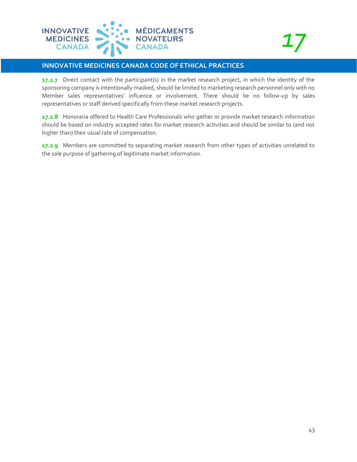![](_page_42_Picture_0.jpeg)

**17.2.7** Direct contact with the participant(s) in the market research project, in which the identity of the sponsoring company is intentionally masked, should be limited to marketing research personnel only with no Member sales representatives' influence or involvement. There should be no follow-up by sales representatives or staff derived specifically from these market research projects.

**17.2.8** Honoraria offered to Health Care Professionals who gather or provide market research information should be based on industry accepted rates for market research activities and should be similar to (and not higher than) their usual rate of compensation.

**17.2.9** Members are committed to separating market research from other types of activities unrelated to the sole purpose of gathering of legitimate market information.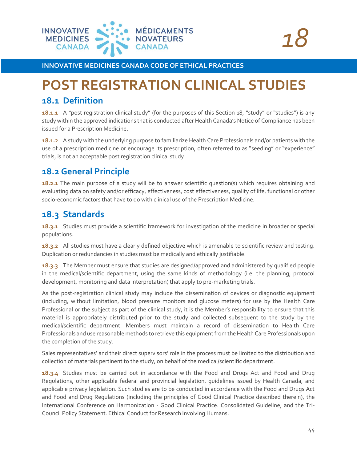![](_page_43_Picture_0.jpeg)

# <span id="page-43-0"></span>**POST REGISTRATION CLINICAL STUDIES**

## **18.1 Definition**

**18.1.1** A "post registration clinical study" (for the purposes of this Section 18, "study" or "studies") is any study within the approved indications that is conducted after Health Canada's Notice of Compliance has been issued for a Prescription Medicine.

**18.1.2** A study with the underlying purpose to familiarize Health Care Professionals and/or patients with the use of a prescription medicine or encourage its prescription, often referred to as "seeding" or "experience" trials, is not an acceptable post registration clinical study.

# **18.2 General Principle**

**18.2.1** The main purpose of a study will be to answer scientific question(s) which requires obtaining and evaluating data on safety and/or efficacy, effectiveness, cost effectiveness, quality of life, functional or other socio-economic factors that have to do with clinical use of the Prescription Medicine.

# **18.3 Standards**

**18.3.1** Studies must provide a scientific framework for investigation of the medicine in broader or special populations.

**18.3.2** All studies must have a clearly defined objective which is amenable to scientific review and testing. Duplication or redundancies in studies must be medically and ethically justifiable.

**18.3.3** The Member must ensure that studies are designed/approved and administered by qualified people in the medical/scientific department, using the same kinds of methodology (i.e. the planning, protocol development, monitoring and data interpretation) that apply to pre-marketing trials.

As the post-registration clinical study may include the dissemination of devices or diagnostic equipment (including, without limitation, blood pressure monitors and glucose meters) for use by the Health Care Professional or the subject as part of the clinical study, it is the Member's responsibility to ensure that this material is appropriately distributed prior to the study and collected subsequent to the study by the medical/scientific department. Members must maintain a record of dissemination to Health Care Professionals and use reasonable methods to retrieve this equipment from the Health Care Professionals upon the completion of the study.

Sales representatives' and their direct supervisors' role in the process must be limited to the distribution and collection of materials pertinent to the study, on behalf of the medical/scientific department.

**18.3.4** Studies must be carried out in accordance with the Food and Drugs Act and Food and Drug Regulations, other applicable federal and provincial legislation, guidelines issued by Health Canada, and applicable privacy legislation. Such studies are to be conducted in accordance with the Food and Drugs Act and Food and Drug Regulations (including the principles of Good Clinical Practice described therein), the International Conference on Harmonization - Good Clinical Practice: Consolidated Guideline, and the Tri-Council Policy Statement: Ethical Conduct for Research Involving Humans.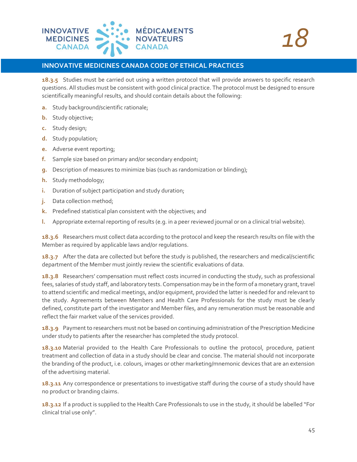![](_page_44_Picture_0.jpeg)

**18.3.5** Studies must be carried out using a written protocol that will provide answers to specific research questions. All studies must be consistent with good clinical practice. The protocol must be designed to ensure scientifically meaningful results, and should contain details about the following:

- **a.** Study background/scientific rationale;
- **b.** Study objective;
- **c.** Study design;
- **d.** Study population;
- **e.** Adverse event reporting;
- **f.** Sample size based on primary and/or secondary endpoint;
- **g.** Description of measures to minimize bias (such as randomization or blinding);
- **h.** Study methodology;
- **i.** Duration of subject participation and study duration;
- **j.** Data collection method;
- **k.** Predefined statistical plan consistent with the objectives; and
- **l.** Appropriate external reporting of results (e.g. in a peer reviewed journal or on a clinical trial website).

**18.3.6** Researchers must collect data according to the protocol and keep the research results on file with the Member as required by applicable laws and/or regulations.

**18.3.7** After the data are collected but before the study is published, the researchers and medical/scientific department of the Member must jointly review the scientific evaluations of data.

**18.3.8** Researchers' compensation must reflect costs incurred in conducting the study, such as professional fees, salaries of study staff, and laboratory tests. Compensation may be in the form of a monetary grant, travel to attend scientific and medical meetings, and/or equipment, provided the latter is needed for and relevant to the study. Agreements between Members and Health Care Professionals for the study must be clearly defined, constitute part of the investigator and Member files, and any remuneration must be reasonable and reflect the fair market value of the services provided.

**18.3.9** Payment to researchers must not be based on continuing administration of the Prescription Medicine under study to patients after the researcher has completed the study protocol.

**18.3.10** Material provided to the Health Care Professionals to outline the protocol, procedure, patient treatment and collection of data in a study should be clear and concise. The material should not incorporate the branding of the product, i.e. colours, images or other marketing/mnemonic devices that are an extension of the advertising material.

**18.3.11** Any correspondence or presentations to investigative staff during the course of a study should have no product or branding claims.

**18.3.12** If a product is supplied to the Health Care Professionals to use in the study, it should be labelled "For clinical trial use only".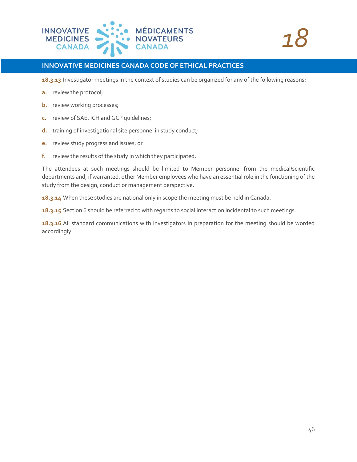![](_page_45_Picture_0.jpeg)

**18.3.13** Investigator meetings in the context of studies can be organized for any of the following reasons:

- **a.** review the protocol;
- **b.** review working processes;
- **c.** review of SAE, ICH and GCP guidelines;
- **d.** training of investigational site personnel in study conduct;
- **e.** review study progress and issues; or
- **f.** review the results of the study in which they participated.

The attendees at such meetings should be limited to Member personnel from the medical/scientific departments and, if warranted, other Member employees who have an essential role in the functioning of the study from the design, conduct or management perspective.

**18.3.14** When these studies are national only in scope the meeting must be held in Canada.

**18.3.15** Section 6 should be referred to with regards to social interaction incidental to such meetings.

**18.3.16** All standard communications with investigators in preparation for the meeting should be worded accordingly.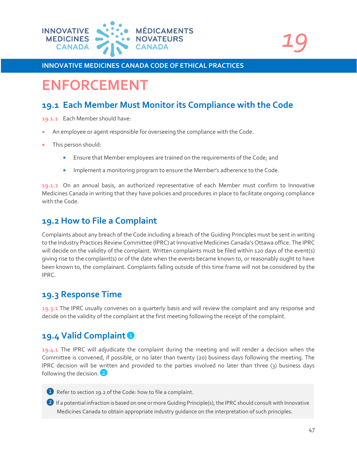![](_page_46_Picture_0.jpeg)

![](_page_46_Picture_1.jpeg)

# <span id="page-46-0"></span>**ENFORCEMENT**

# **19.1 Each Member Must Monitor its Compliance with the Code**

**19.1.1** Each Member should have:

- An employee or agent responsible for overseeing the compliance with the Code.
- This person should:
	- Ensure that Member employees are trained on the requirements of the Code; and
	- Implement a monitoring program to ensure the Member's adherence to the Code.

**19.1.2** On an annual basis, an authorized representative of each Member must confirm to Innovative Medicines Canada in writing that they have policies and procedures in place to facilitate ongoing compliance with the Code.

# **19.2 How to File a Complaint**

Complaints about any breach of the Code including a breach of the Guiding Principles must be sent in writing to the Industry Practices Review Committee (IPRC) at Innovative Medicines Canada's Ottawa office. The IPRC will decide on the validity of the complaint. Written complaints must be filed within 120 days of the event(s) giving rise to the complaint(s) or of the date when the events became known to, or reasonably ought to have been known to, the complainant. Complaints falling outside of this time frame will not be considered by the IPRC.

## **19.3 Response Time**

**19.3.1** The IPRC usually convenes on a quarterly basis and will review the complaint and any response and decide on the validity of the complaint at the first meeting following the receipt of the complaint.

# **19.4 Valid Complaint**

**19.4.1** The IPRC will adjudicate the complaint during the meeting and will render a decision when the Committee is convened, if possible, or no later than twenty (20) business days following the meeting. The IPRC decision will be written and provided to the parties involved no later than three (3) business days following the decision.

- ❶ Refer to section 19.2 of the Code: how to file a complaint.
- ❷ If a potential infraction is based on one or more Guiding Principle(s), the IPRC should consult with Innovative Medicines Canada to obtain appropriate industry guidance on the interpretation of such principles.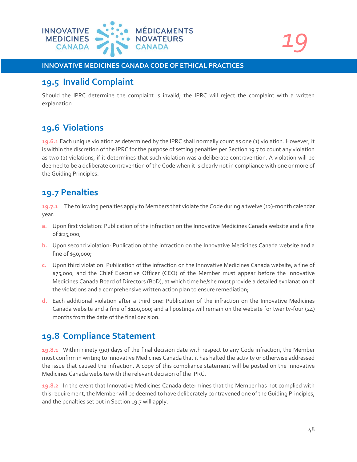![](_page_47_Picture_0.jpeg)

*19*

#### **INNOVATIVE MEDICINES CANADA CODE OF ETHICAL PRACTICES**

### **19.5 Invalid Complaint**

Should the IPRC determine the complaint is invalid; the IPRC will reject the complaint with a written explanation.

# **19.6 Violations**

**19.6.1** Each unique violation as determined by the IPRC shall normally count as one (1) violation. However, it is within the discretion of the IPRC for the purpose of setting penalties per Section 19.7 to count any violation as two (2) violations, if it determines that such violation was a deliberate contravention. A violation will be deemed to be a deliberate contravention of the Code when it is clearly not in compliance with one or more of the Guiding Principles.

# **19.7 Penalties**

**19.7.1** The following penalties apply to Members that violate the Code during a twelve (12)-month calendar year:

- **a.** Upon first violation: Publication of the infraction on the Innovative Medicines Canada website and a fine of \$25,000;
- **b.** Upon second violation: Publication of the infraction on the Innovative Medicines Canada website and a fine of \$50,000;
- **c.** Upon third violation: Publication of the infraction on the Innovative Medicines Canada website, a fine of \$75,000, and the Chief Executive Officer (CEO) of the Member must appear before the Innovative Medicines Canada Board of Directors (BoD), at which time he/she must provide a detailed explanation of the violations and a comprehensive written action plan to ensure remediation;
- **d.** Each additional violation after a third one: Publication of the infraction on the Innovative Medicines Canada website and a fine of \$100,000; and all postings will remain on the website for twenty-four (24) months from the date of the final decision.

# **19.8 Compliance Statement**

**19.8.1** Within ninety (90) days of the final decision date with respect to any Code infraction, the Member must confirm in writing to Innovative Medicines Canada that it has halted the activity or otherwise addressed the issue that caused the infraction. A copy of this compliance statement will be posted on the Innovative Medicines Canada website with the relevant decision of the IPRC.

**19.8.2** In the event that Innovative Medicines Canada determines that the Member has not complied with this requirement, the Member will be deemed to have deliberately contravened one of the Guiding Principles, and the penalties set out in Section 19.7 will apply.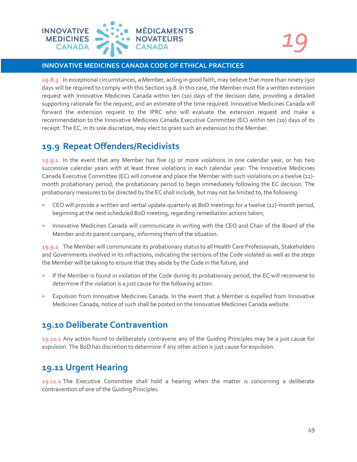![](_page_48_Picture_0.jpeg)

**19.8.3** In exceptional circumstances, a Member, acting in good faith, may believe that more than ninety (90) days will be required to comply with this Section 19.8. In this case, the Member must file a written extension request with Innovative Medicines Canada within ten (10) days of the decision date, providing a detailed supporting rationale for the request, and an estimate of the time required. Innovative Medicines Canada will forward the extension request to the IPRC who will evaluate the extension request and make a recommendation to the Innovative Medicines Canada Executive Committee (EC) within ten (10) days of its receipt. The EC, in its sole discretion, may elect to grant such an extension to the Member.

# **19.9 Repeat Offenders/Recidivists**

**19.9.1** In the event that any Member has five (5) or more violations in one calendar year, or has two successive calendar years with at least three violations in each calendar year: The Innovative Medicines Canada Executive Committee (EC) will convene and place the Member with such violations on a twelve (12) month probationary period; the probationary period to begin immediately following the EC decision. The probationary measures to be directed by the EC shall include, but may not be limited to, the following:

- CEO will provide a written and verbal update quarterly at BoD meetings for a twelve (12)-month period, beginning at the next scheduled BoD meeting, regarding remediation actions taken;
- Innovative Medicines Canada will communicate in writing with the CEO and Chair of the Board of the Member and its parent company, informing them of the situation.

**19.9.2** The Member will communicate its probationary status to all Health Care Professionals, Stakeholders and Governments involved in its infractions, indicating the sections of the Code violated as well as the steps the Member will be taking to ensure that they abide by the Code in the future; and

- If the Member is found in violation of the Code during its probationary period, the EC will reconvene to determine if the violation is a just cause for the following action:
- Expulsion from Innovative Medicines Canada. In the event that a Member is expelled from Innovative Medicines Canada, notice of such shall be posted on the Innovative Medicines Canada website.

## **19.10 Deliberate Contravention**

**19.10.1** Any action found to deliberately contravene any of the Guiding Principles may be a just cause for expulsion. The BoD has discretion to determine if any other action is just cause for expulsion.

# **19.11 Urgent Hearing**

**19.11.1** The Executive Committee shall hold a hearing when the matter is concerning a deliberate contravention of one of the Guiding Principles.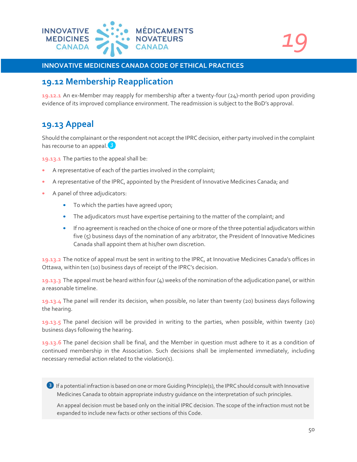![](_page_49_Picture_0.jpeg)

```
19
```
# **19.12 Membership Reapplication**

**19.12.1** An ex-Member may reapply for membership after a twenty-four (24)-month period upon providing evidence of its improved compliance environment. The readmission is subject to the BoD's approval.

# **19.13 Appeal**

Should the complainant or the respondent not accept the IPRC decision, either party involved in the complaint has recourse to an appeal.<sup>3</sup>

**19.13.1** The parties to the appeal shall be:

- A representative of each of the parties involved in the complaint;
- A representative of the IPRC, appointed by the President of Innovative Medicines Canada; and
- A panel of three adjudicators:
	- To which the parties have agreed upon;
	- The adjudicators must have expertise pertaining to the matter of the complaint; and
	- If no agreement is reached on the choice of one or more of the three potential adjudicators within five (5) business days of the nomination of any arbitrator, the President of Innovative Medicines Canada shall appoint them at his/her own discretion.

**19.13.2** The notice of appeal must be sent in writing to the IPRC, at Innovative Medicines Canada's offices in Ottawa, within ten (10) business days of receipt of the IPRC's decision.

**19.13.3** The appeal must be heard within four (4) weeks of the nomination of the adjudication panel, or within a reasonable timeline.

**19.13.4** The panel will render its decision, when possible, no later than twenty (20) business days following the hearing.

**19.13.5** The panel decision will be provided in writing to the parties, when possible, within twenty (20) business days following the hearing.

**19.13.6** The panel decision shall be final, and the Member in question must adhere to it as a condition of continued membership in the Association. Such decisions shall be implemented immediately, including necessary remedial action related to the violation(s).

❸ If a potential infraction is based on one or more Guiding Principle(s), the IPRC should consult with Innovative Medicines Canada to obtain appropriate industry guidance on the interpretation of such principles.

An appeal decision must be based only on the initial IPRC decision. The scope of the infraction must not be expanded to include new facts or other sections of this Code.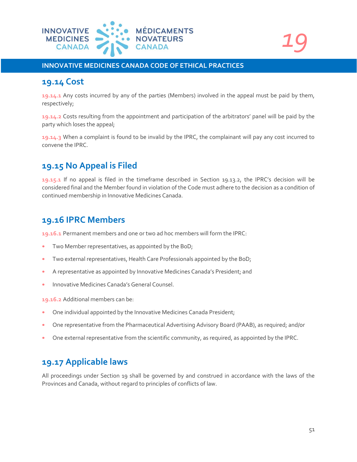![](_page_50_Picture_0.jpeg)

### **19.14 Cost**

**19.14.1** Any costs incurred by any of the parties (Members) involved in the appeal must be paid by them, respectively;

**19.14.2** Costs resulting from the appointment and participation of the arbitrators' panel will be paid by the party which loses the appeal;

**19.14.3** When a complaint is found to be invalid by the IPRC, the complainant will pay any cost incurred to convene the IPRC.

# **19.15 No Appeal is Filed**

**19.15.1** If no appeal is filed in the timeframe described in Section 19.13.2, the IPRC's decision will be considered final and the Member found in violation of the Code must adhere to the decision as a condition of continued membership in Innovative Medicines Canada.

### **19.16 IPRC Members**

**19.16.1** Permanent members and one or two ad hoc members will form the IPRC:

- Two Member representatives, as appointed by the BoD;
- Two external representatives, Health Care Professionals appointed by the BoD;
- A representative as appointed by Innovative Medicines Canada's President; and
- Innovative Medicines Canada's General Counsel.

**19.16.2** Additional members can be:

- One individual appointed by the Innovative Medicines Canada President;
- One representative from the Pharmaceutical Advertising Advisory Board (PAAB), as required; and/or
- One external representative from the scientific community, as required, as appointed by the IPRC.

# **19.17 Applicable laws**

All proceedings under Section 19 shall be governed by and construed in accordance with the laws of the Provinces and Canada, without regard to principles of conflicts of law.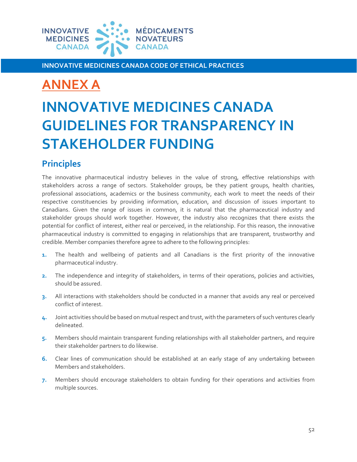![](_page_51_Picture_0.jpeg)

# <span id="page-51-0"></span>**ANNEX A**

# **INNOVATIVE MEDICINES CANADA GUIDELINES FOR TRANSPARENCY IN STAKEHOLDER FUNDING**

# **Principles**

The innovative pharmaceutical industry believes in the value of strong, effective relationships with stakeholders across a range of sectors. Stakeholder groups, be they patient groups, health charities, professional associations, academics or the business community, each work to meet the needs of their respective constituencies by providing information, education, and discussion of issues important to Canadians. Given the range of issues in common, it is natural that the pharmaceutical industry and stakeholder groups should work together. However, the industry also recognizes that there exists the potential for conflict of interest, either real or perceived, in the relationship. For this reason, the innovative pharmaceutical industry is committed to engaging in relationships that are transparent, trustworthy and credible. Member companies therefore agree to adhere to the following principles:

- **1.** The health and wellbeing of patients and all Canadians is the first priority of the innovative pharmaceutical industry.
- **2.** The independence and integrity of stakeholders, in terms of their operations, policies and activities, should be assured.
- **3.** All interactions with stakeholders should be conducted in a manner that avoids any real or perceived conflict of interest.
- **4.** Joint activities should be based on mutual respect and trust, with the parameters of such ventures clearly delineated.
- **5.** Members should maintain transparent funding relationships with all stakeholder partners, and require their stakeholder partners to do likewise.
- **6.** Clear lines of communication should be established at an early stage of any undertaking between Members and stakeholders.
- **7.** Members should encourage stakeholders to obtain funding for their operations and activities from multiple sources.